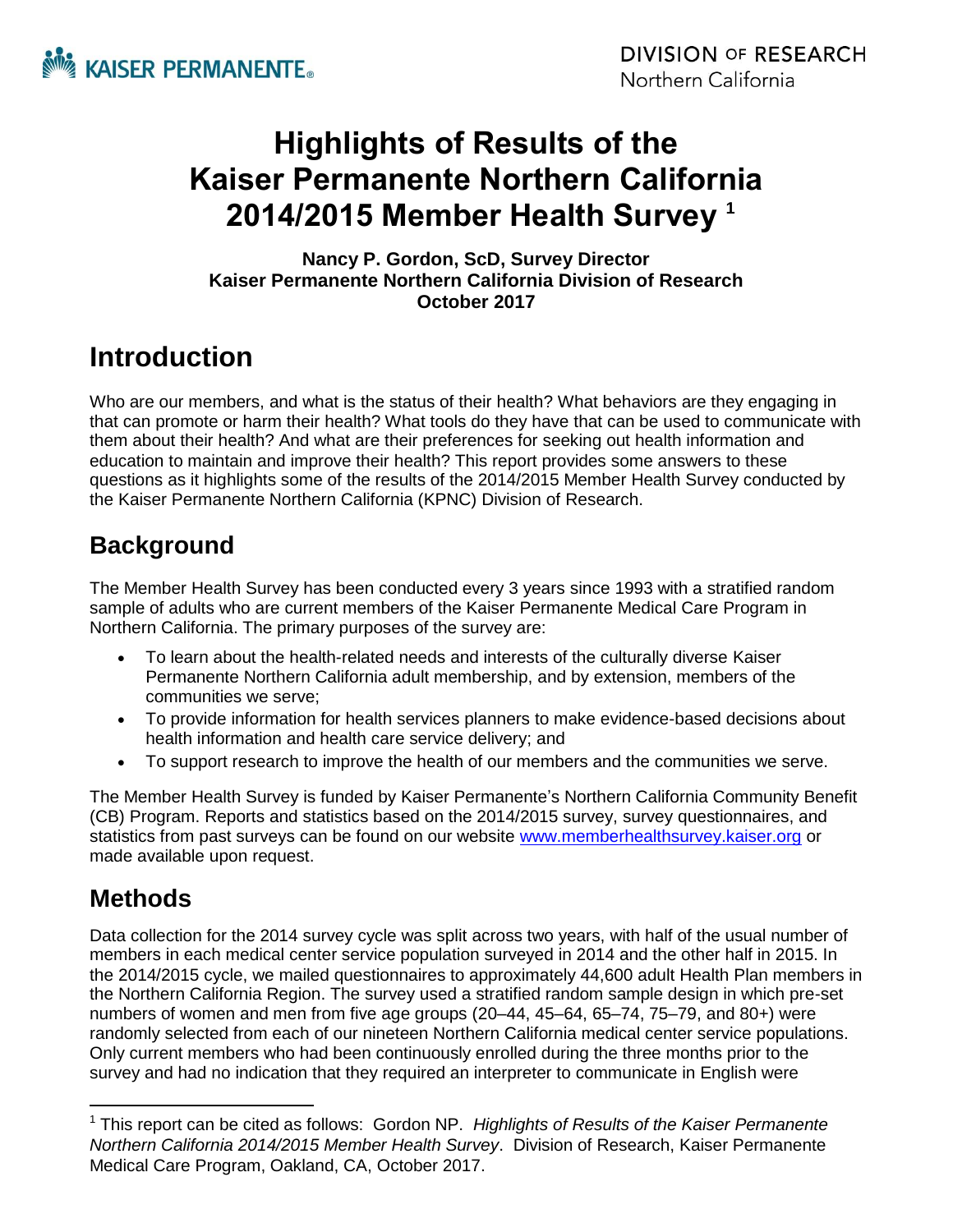

# **Highlights of Results of the Kaiser Permanente Northern California 2014/2015 Member Health Survey <sup>1</sup>**

**Nancy P. Gordon, ScD, Survey Director Kaiser Permanente Northern California Division of Research October 2017**

# **Introduction**

Who are our members, and what is the status of their health? What behaviors are they engaging in that can promote or harm their health? What tools do they have that can be used to communicate with them about their health? And what are their preferences for seeking out health information and education to maintain and improve their health? This report provides some answers to these questions as it highlights some of the results of the 2014/2015 Member Health Survey conducted by the Kaiser Permanente Northern California (KPNC) Division of Research.

# **Background**

The Member Health Survey has been conducted every 3 years since 1993 with a stratified random sample of adults who are current members of the Kaiser Permanente Medical Care Program in Northern California. The primary purposes of the survey are:

- To learn about the health-related needs and interests of the culturally diverse Kaiser Permanente Northern California adult membership, and by extension, members of the communities we serve;
- To provide information for health services planners to make evidence-based decisions about health information and health care service delivery; and
- To support research to improve the health of our members and the communities we serve.

The Member Health Survey is funded by Kaiser Permanente's Northern California Community Benefit (CB) Program. Reports and statistics based on the 2014/2015 survey, survey questionnaires, and statistics from past surveys can be found on our website [www.memberhealthsurvey.kaiser.org](http://www.memberhealthsurvey.kaiser.org/) or made available upon request.

# **Methods**

Data collection for the 2014 survey cycle was split across two years, with half of the usual number of members in each medical center service population surveyed in 2014 and the other half in 2015. In the 2014/2015 cycle, we mailed questionnaires to approximately 44,600 adult Health Plan members in the Northern California Region. The survey used a stratified random sample design in which pre-set numbers of women and men from five age groups (20–44, 45–64, 65–74, 75–79, and 80+) were randomly selected from each of our nineteen Northern California medical center service populations. Only current members who had been continuously enrolled during the three months prior to the survey and had no indication that they required an interpreter to communicate in English were

 $\overline{a}$ <sup>1</sup> This report can be cited as follows: Gordon NP. *Highlights of Results of the Kaiser Permanente Northern California 2014/2015 Member Health Survey*. Division of Research, Kaiser Permanente Medical Care Program, Oakland, CA, October 2017.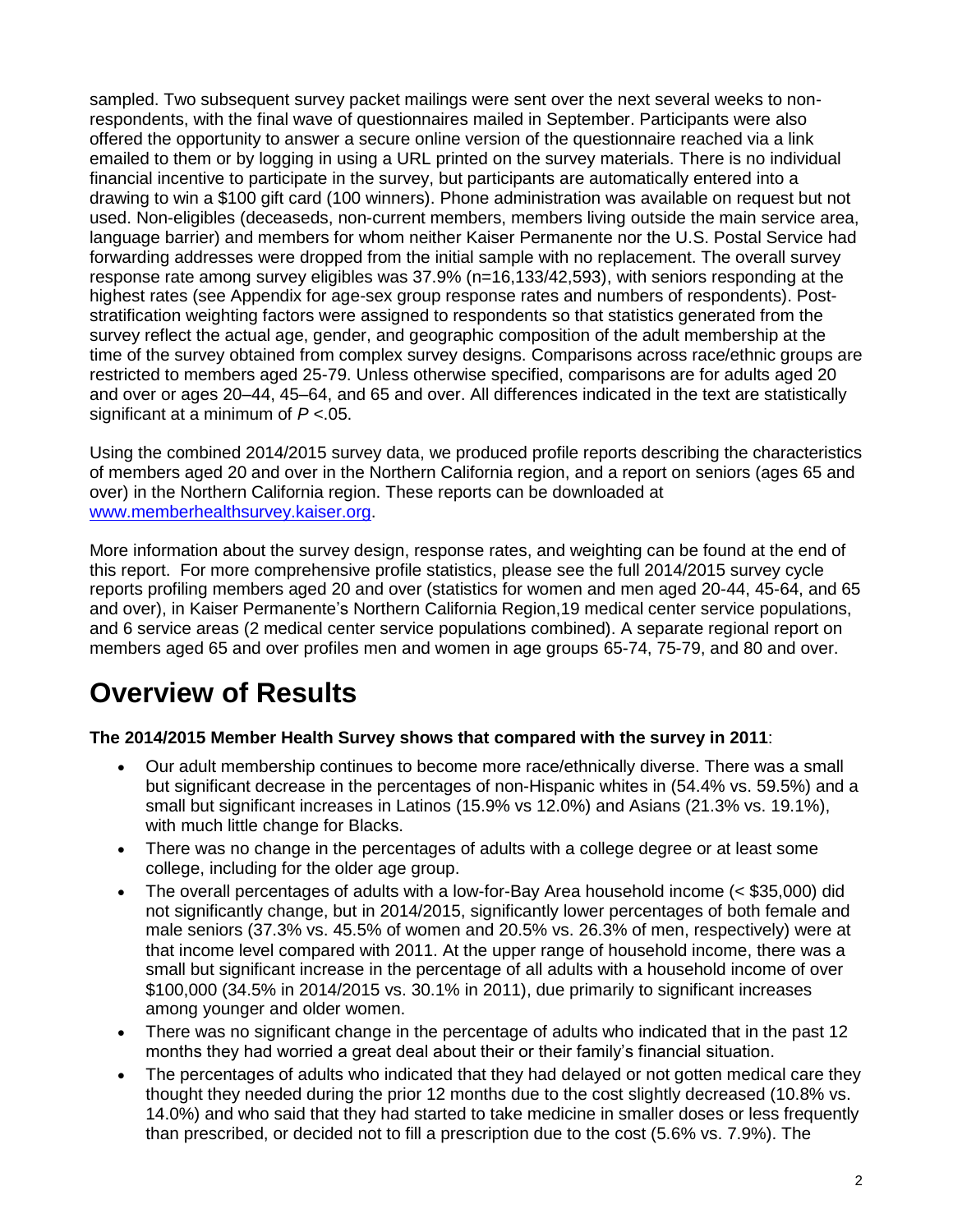sampled. Two subsequent survey packet mailings were sent over the next several weeks to nonrespondents, with the final wave of questionnaires mailed in September. Participants were also offered the opportunity to answer a secure online version of the questionnaire reached via a link emailed to them or by logging in using a URL printed on the survey materials. There is no individual financial incentive to participate in the survey, but participants are automatically entered into a drawing to win a \$100 gift card (100 winners). Phone administration was available on request but not used. Non-eligibles (deceaseds, non-current members, members living outside the main service area, language barrier) and members for whom neither Kaiser Permanente nor the U.S. Postal Service had forwarding addresses were dropped from the initial sample with no replacement. The overall survey response rate among survey eligibles was 37.9% (n=16,133/42,593), with seniors responding at the highest rates (see Appendix for age-sex group response rates and numbers of respondents). Poststratification weighting factors were assigned to respondents so that statistics generated from the survey reflect the actual age, gender, and geographic composition of the adult membership at the time of the survey obtained from complex survey designs. Comparisons across race/ethnic groups are restricted to members aged 25-79. Unless otherwise specified, comparisons are for adults aged 20 and over or ages 20–44, 45–64, and 65 and over. All differences indicated in the text are statistically significant at a minimum of *P <*.05.

Using the combined 2014/2015 survey data, we produced profile reports describing the characteristics of members aged 20 and over in the Northern California region, and a report on seniors (ages 65 and over) in the Northern California region. These reports can be downloaded at [www.memberhealthsurvey.kaiser.org.](http://www.memberhealthsurvey.kaiser.org/)

More information about the survey design, response rates, and weighting can be found at the end of this report. For more comprehensive profile statistics, please see the full 2014/2015 survey cycle reports profiling members aged 20 and over (statistics for women and men aged 20-44, 45-64, and 65 and over), in Kaiser Permanente's Northern California Region,19 medical center service populations, and 6 service areas (2 medical center service populations combined). A separate regional report on members aged 65 and over profiles men and women in age groups 65-74, 75-79, and 80 and over.

# **Overview of Results**

## **The 2014/2015 Member Health Survey shows that [compared with the survey in 2011](http://www.dor.kaiser.org/external/uploadedFiles/content/research/mhs/_2011_Revised_Site/Documents_Special_Reports/Member%20Health%20Surveys%20Report%20-%20Comparison%20of%20Demographics%20and%20Health-Related%20Characteristics,%202008%20v%202005%20(2-3-10)-rev(1).pdf)**:

- Our adult membership continues to become more race/ethnically diverse. There was a small but significant decrease in the percentages of non-Hispanic whites in (54.4% vs. 59.5%) and a small but significant increases in Latinos (15.9% vs 12.0%) and Asians (21.3% vs. 19.1%), with much little change for Blacks.
- There was no change in the percentages of adults with a college degree or at least some college, including for the older age group.
- The overall percentages of adults with a low-for-Bay Area household income (< \$35,000) did not significantly change, but in 2014/2015, significantly lower percentages of both female and male seniors (37.3% vs. 45.5% of women and 20.5% vs. 26.3% of men, respectively) were at that income level compared with 2011. At the upper range of household income, there was a small but significant increase in the percentage of all adults with a household income of over \$100,000 (34.5% in 2014/2015 vs. 30.1% in 2011), due primarily to significant increases among younger and older women.
- There was no significant change in the percentage of adults who indicated that in the past 12 months they had worried a great deal about their or their family's financial situation.
- The percentages of adults who indicated that they had delayed or not gotten medical care they thought they needed during the prior 12 months due to the cost slightly decreased (10.8% vs. 14.0%) and who said that they had started to take medicine in smaller doses or less frequently than prescribed, or decided not to fill a prescription due to the cost (5.6% vs. 7.9%). The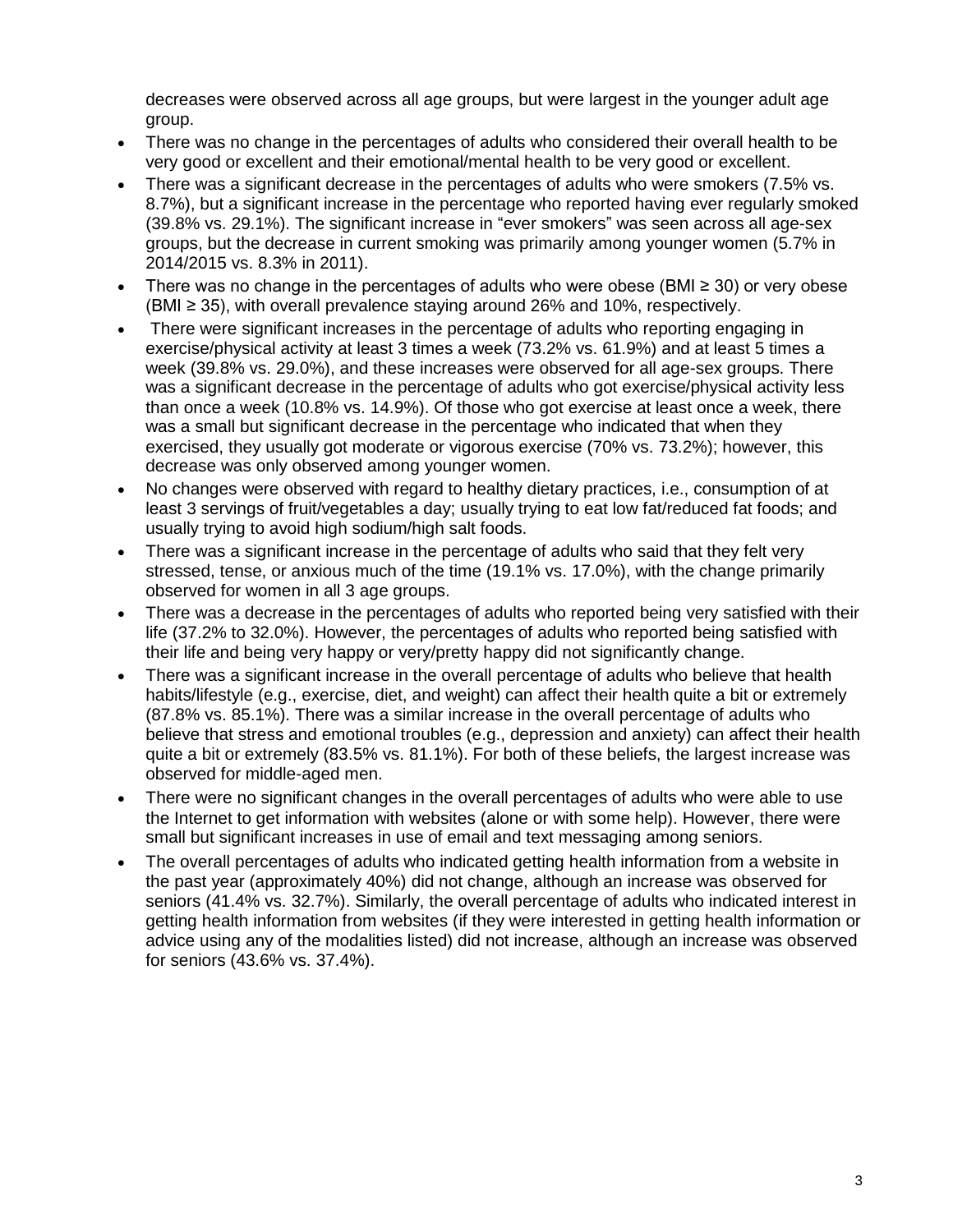decreases were observed across all age groups, but were largest in the younger adult age group.

- There was no change in the percentages of adults who considered their overall health to be very good or excellent and their emotional/mental health to be very good or excellent.
- There was a significant decrease in the percentages of adults who were smokers (7.5% vs. 8.7%), but a significant increase in the percentage who reported having ever regularly smoked (39.8% vs. 29.1%). The significant increase in "ever smokers" was seen across all age-sex groups, but the decrease in current smoking was primarily among younger women (5.7% in 2014/2015 vs. 8.3% in 2011).
- There was no change in the percentages of adults who were obese (BMI ≥ 30) or very obese (BMI ≥ 35), with overall prevalence staying around 26% and 10%, respectively.
- There were significant increases in the percentage of adults who reporting engaging in exercise/physical activity at least 3 times a week (73.2% vs. 61.9%) and at least 5 times a week (39.8% vs. 29.0%), and these increases were observed for all age-sex groups. There was a significant decrease in the percentage of adults who got exercise/physical activity less than once a week (10.8% vs. 14.9%). Of those who got exercise at least once a week, there was a small but significant decrease in the percentage who indicated that when they exercised, they usually got moderate or vigorous exercise (70% vs. 73.2%); however, this decrease was only observed among younger women.
- No changes were observed with regard to healthy dietary practices, i.e., consumption of at least 3 servings of fruit/vegetables a day; usually trying to eat low fat/reduced fat foods; and usually trying to avoid high sodium/high salt foods.
- There was a significant increase in the percentage of adults who said that they felt very stressed, tense, or anxious much of the time (19.1% vs. 17.0%), with the change primarily observed for women in all 3 age groups.
- There was a decrease in the percentages of adults who reported being very satisfied with their life (37.2% to 32.0%). However, the percentages of adults who reported being satisfied with their life and being very happy or very/pretty happy did not significantly change.
- There was a significant increase in the overall percentage of adults who believe that health habits/lifestyle (e.g., exercise, diet, and weight) can affect their health quite a bit or extremely (87.8% vs. 85.1%). There was a similar increase in the overall percentage of adults who believe that stress and emotional troubles (e.g., depression and anxiety) can affect their health quite a bit or extremely (83.5% vs. 81.1%). For both of these beliefs, the largest increase was observed for middle-aged men.
- There were no significant changes in the overall percentages of adults who were able to use the Internet to get information with websites (alone or with some help). However, there were small but significant increases in use of email and text messaging among seniors.
- The overall percentages of adults who indicated getting health information from a website in the past year (approximately 40%) did not change, although an increase was observed for seniors (41.4% vs. 32.7%). Similarly, the overall percentage of adults who indicated interest in getting health information from websites (if they were interested in getting health information or advice using any of the modalities listed) did not increase, although an increase was observed for seniors (43.6% vs. 37.4%).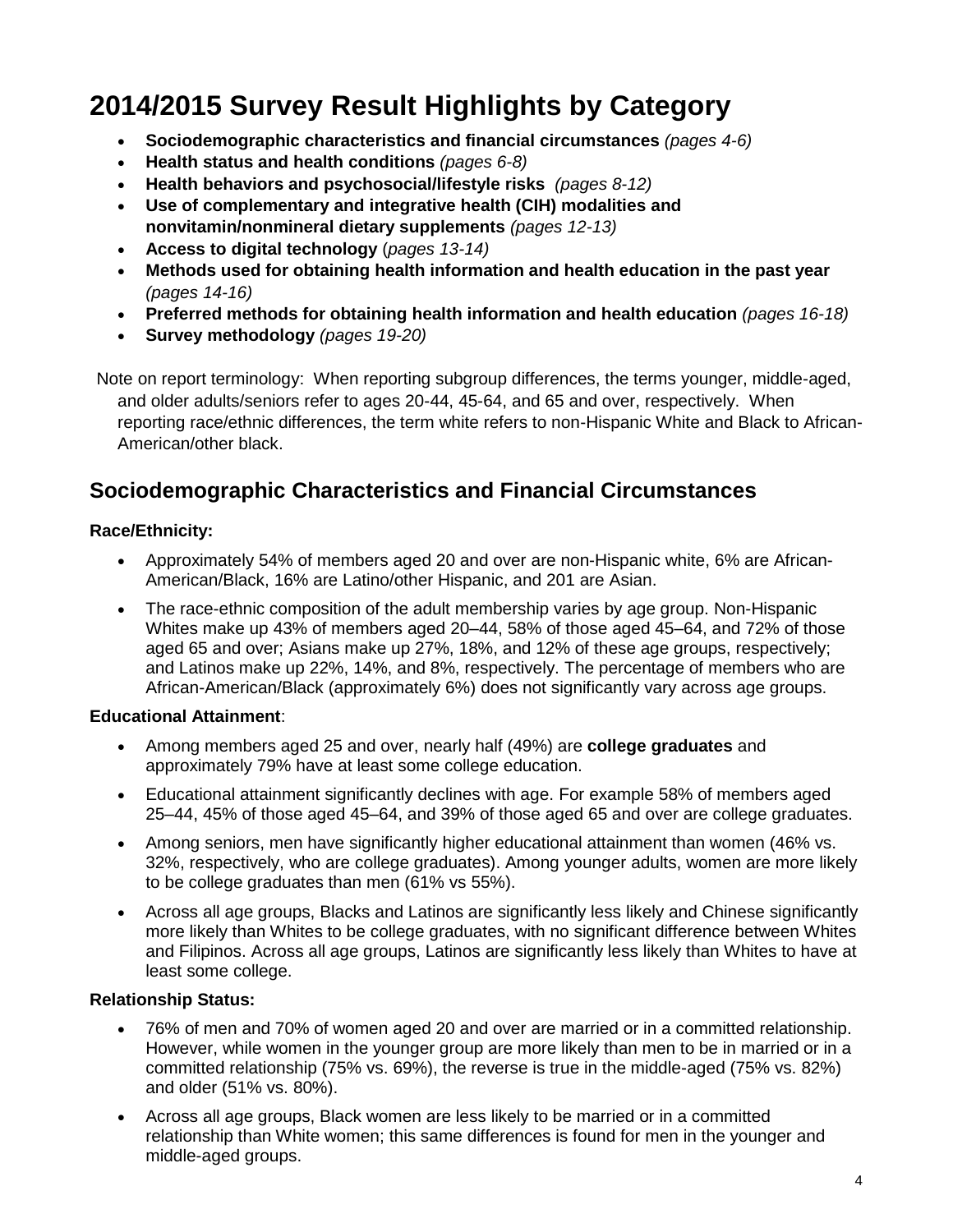# **2014/2015 Survey Result Highlights by Category**

- **Socio[demographic characteristics](http://www.dor.kaiser.org/external/DORExternal/mhs/2008_ncal_highlights.aspx#demographics#demographics) and financial circumstances** *(pages 4-6)*
- **[Health status](http://www.dor.kaiser.org/external/DORExternal/mhs/2008_ncal_highlights.aspx#health status#health status) and health conditions** *(pages 6-8)*
- **[Health behaviors and psychosocial/lifestyle risks](http://www.dor.kaiser.org/external/DORExternal/mhs/2008_ncal_highlights.aspx#health behavior#health behavior)** *(pages 8-12)*
- **[Use of complementary and integrative health \(CIH\) modalities](http://www.dor.kaiser.org/external/DORExternal/mhs/2008_ncal_highlights.aspx#complementary#complementary) and nonvitamin/nonmineral dietary supplements** *(pages 12-13)*
- **Access to digital technology** (*pages 13-14)*
- **Methods used for obtaining health information and health education in the past year** *(pages 14-16)*
- **Preferred methods for obtaining health information and health education** *(pages 16-18)*
- **Survey methodology** *(pages 19-20)*

Note on report terminology: When reporting subgroup differences, the terms younger, middle-aged, and older adults/seniors refer to ages 20-44, 45-64, and 65 and over, respectively. When reporting race/ethnic differences, the term white refers to non-Hispanic White and Black to African-American/other black.

## **Sociodemographic Characteristics and Financial Circumstances**

### **Race/Ethnicity:**

- Approximately 54% of members aged 20 and over are non-Hispanic white, 6% are African-American/Black, 16% are Latino/other Hispanic, and 201 are Asian.
- The race-ethnic composition of the adult membership varies by age group. Non-Hispanic Whites make up 43% of members aged 20–44, 58% of those aged 45–64, and 72% of those aged 65 and over; Asians make up 27%, 18%, and 12% of these age groups, respectively; and Latinos make up 22%, 14%, and 8%, respectively. The percentage of members who are African-American/Black (approximately 6%) does not significantly vary across age groups.

## **Educational Attainment**:

- Among members aged 25 and over, nearly half (49%) are **college graduates** and approximately 79% have at least some college education.
- Educational attainment significantly declines with age. For example 58% of members aged 25–44, 45% of those aged 45–64, and 39% of those aged 65 and over are college graduates.
- Among seniors, men have significantly higher educational attainment than women (46% vs. 32%, respectively, who are college graduates). Among younger adults, women are more likely to be college graduates than men (61% vs 55%).
- Across all age groups, Blacks and Latinos are significantly less likely and Chinese significantly more likely than Whites to be college graduates, with no significant difference between Whites and Filipinos. Across all age groups, Latinos are significantly less likely than Whites to have at least some college.

### **Relationship Status:**

- 76% of men and 70% of women aged 20 and over are married or in a committed relationship. However, while women in the younger group are more likely than men to be in married or in a committed relationship (75% vs. 69%), the reverse is true in the middle-aged (75% vs. 82%) and older (51% vs. 80%).
- Across all age groups, Black women are less likely to be married or in a committed relationship than White women; this same differences is found for men in the younger and middle-aged groups.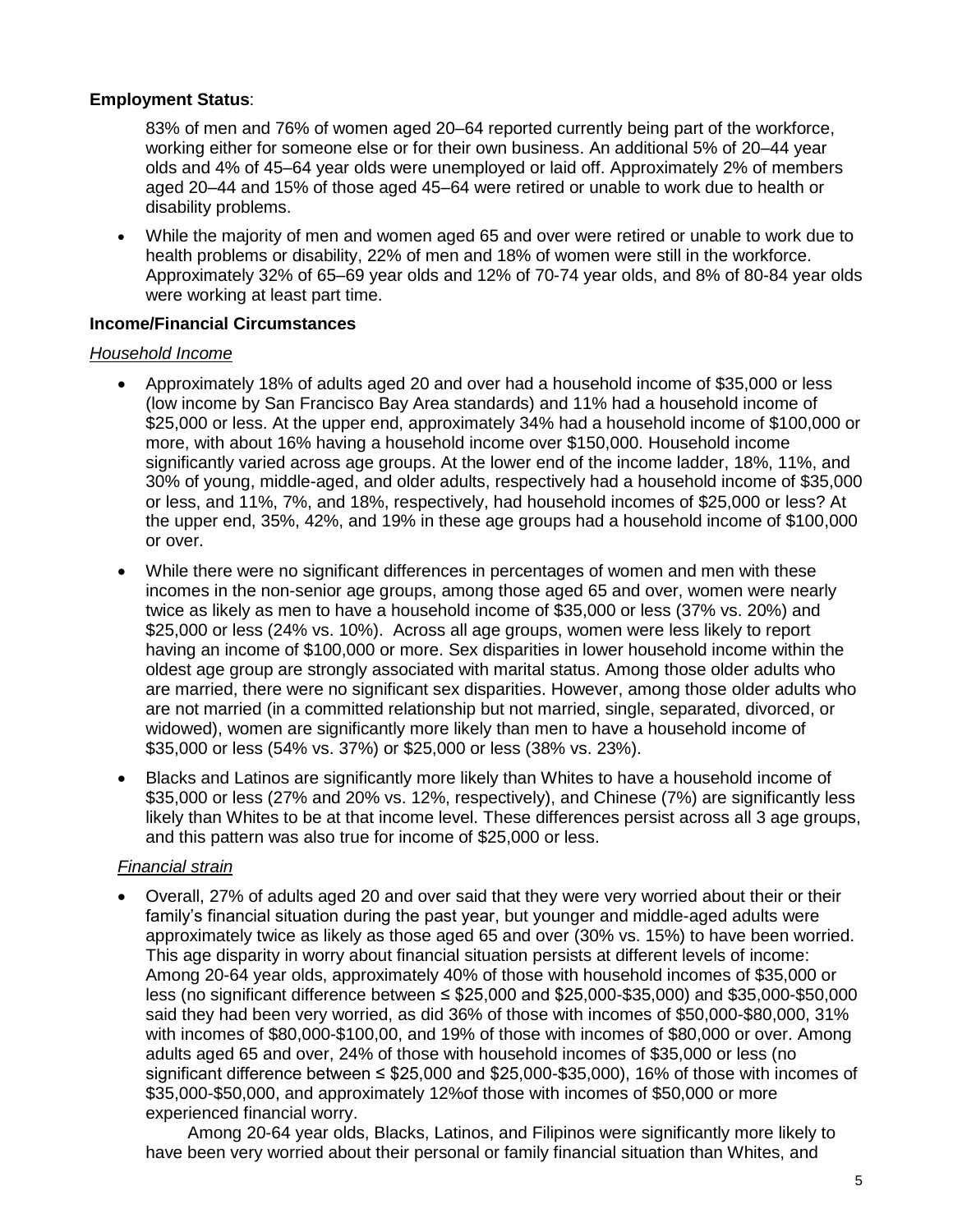### **Employment Status**:

83% of men and 76% of women aged 20–64 reported currently being part of the workforce, working either for someone else or for their own business. An additional 5% of 20–44 year olds and 4% of 45–64 year olds were unemployed or laid off. Approximately 2% of members aged 20–44 and 15% of those aged 45–64 were retired or unable to work due to health or disability problems.

 While the majority of men and women aged 65 and over were retired or unable to work due to health problems or disability, 22% of men and 18% of women were still in the workforce. Approximately 32% of 65–69 year olds and 12% of 70-74 year olds, and 8% of 80-84 year olds were working at least part time.

#### **Income/Financial Circumstances**

#### *Household Income*

- Approximately 18% of adults aged 20 and over had a household income of \$35,000 or less (low income by San Francisco Bay Area standards) and 11% had a household income of \$25,000 or less. At the upper end, approximately 34% had a household income of \$100,000 or more, with about 16% having a household income over \$150,000. Household income significantly varied across age groups. At the lower end of the income ladder, 18%, 11%, and 30% of young, middle-aged, and older adults, respectively had a household income of \$35,000 or less, and 11%, 7%, and 18%, respectively, had household incomes of \$25,000 or less? At the upper end, 35%, 42%, and 19% in these age groups had a household income of \$100,000 or over.
- While there were no significant differences in percentages of women and men with these incomes in the non-senior age groups, among those aged 65 and over, women were nearly twice as likely as men to have a household income of \$35,000 or less (37% vs. 20%) and \$25,000 or less (24% vs. 10%). Across all age groups, women were less likely to report having an income of \$100,000 or more. Sex disparities in lower household income within the oldest age group are strongly associated with marital status. Among those older adults who are married, there were no significant sex disparities. However, among those older adults who are not married (in a committed relationship but not married, single, separated, divorced, or widowed), women are significantly more likely than men to have a household income of \$35,000 or less (54% vs. 37%) or \$25,000 or less (38% vs. 23%).
- Blacks and Latinos are significantly more likely than Whites to have a household income of \$35,000 or less (27% and 20% vs. 12%, respectively), and Chinese (7%) are significantly less likely than Whites to be at that income level. These differences persist across all 3 age groups, and this pattern was also true for income of \$25,000 or less.

#### *Financial strain*

 Overall, 27% of adults aged 20 and over said that they were very worried about their or their family's financial situation during the past year, but younger and middle-aged adults were approximately twice as likely as those aged 65 and over (30% vs. 15%) to have been worried. This age disparity in worry about financial situation persists at different levels of income: Among 20-64 year olds, approximately 40% of those with household incomes of \$35,000 or less (no significant difference between ≤ \$25,000 and \$25,000-\$35,000) and \$35,000-\$50,000 said they had been very worried, as did 36% of those with incomes of \$50,000-\$80,000, 31% with incomes of \$80,000-\$100,00, and 19% of those with incomes of \$80,000 or over. Among adults aged 65 and over, 24% of those with household incomes of \$35,000 or less (no significant difference between ≤ \$25,000 and \$25,000-\$35,000), 16% of those with incomes of \$35,000-\$50,000, and approximately 12%of those with incomes of \$50,000 or more experienced financial worry.

Among 20-64 year olds, Blacks, Latinos, and Filipinos were significantly more likely to have been very worried about their personal or family financial situation than Whites, and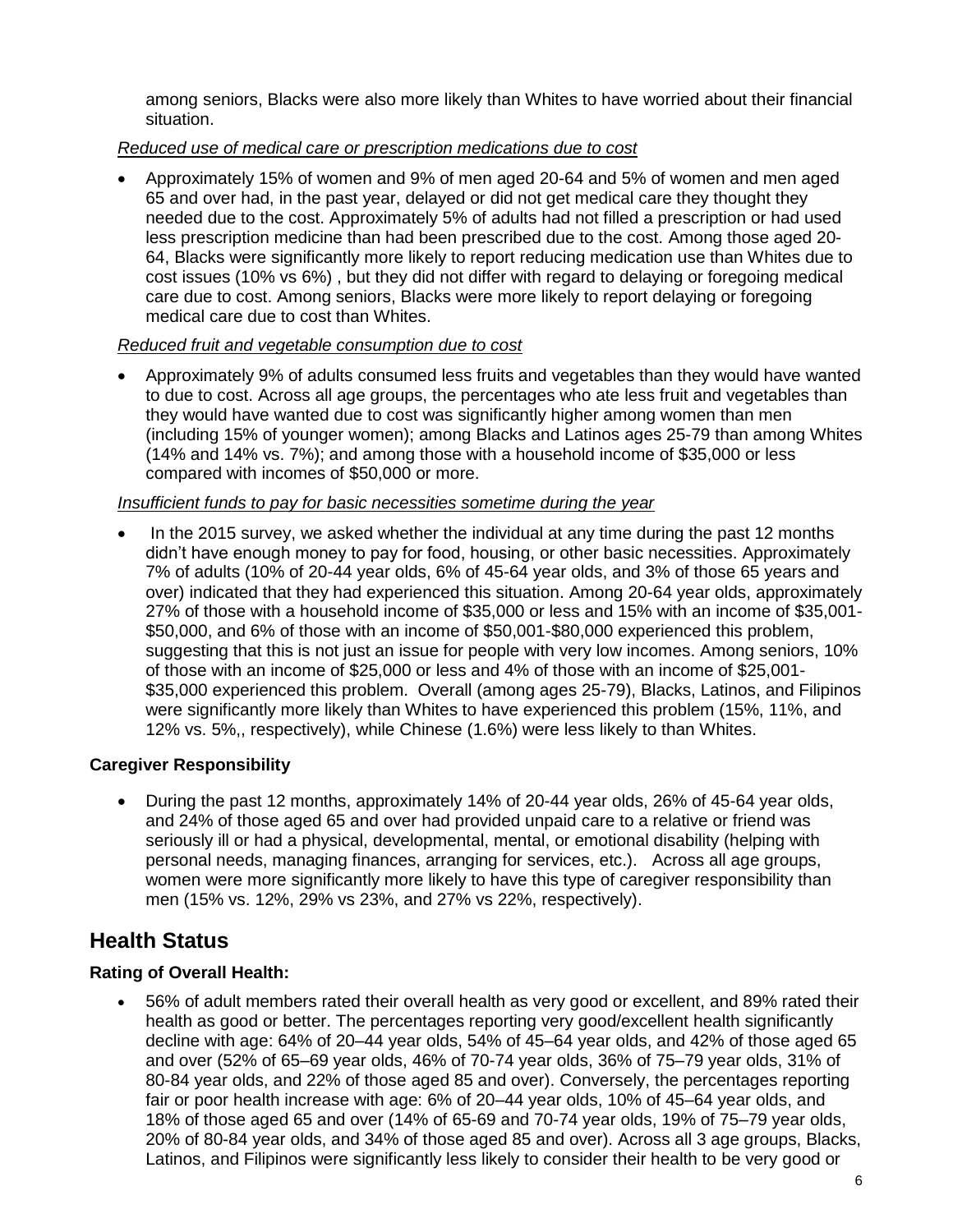among seniors, Blacks were also more likely than Whites to have worried about their financial situation.

## *Reduced use of medical care or prescription medications due to cost*

 Approximately 15% of women and 9% of men aged 20-64 and 5% of women and men aged 65 and over had, in the past year, delayed or did not get medical care they thought they needed due to the cost. Approximately 5% of adults had not filled a prescription or had used less prescription medicine than had been prescribed due to the cost. Among those aged 20- 64, Blacks were significantly more likely to report reducing medication use than Whites due to cost issues (10% vs 6%) , but they did not differ with regard to delaying or foregoing medical care due to cost. Among seniors, Blacks were more likely to report delaying or foregoing medical care due to cost than Whites.

### *Reduced fruit and vegetable consumption due to cost*

 Approximately 9% of adults consumed less fruits and vegetables than they would have wanted to due to cost. Across all age groups, the percentages who ate less fruit and vegetables than they would have wanted due to cost was significantly higher among women than men (including 15% of younger women); among Blacks and Latinos ages 25-79 than among Whites (14% and 14% vs. 7%); and among those with a household income of \$35,000 or less compared with incomes of \$50,000 or more.

## *Insufficient funds to pay for basic necessities sometime during the year*

• In the 2015 survey, we asked whether the individual at any time during the past 12 months didn't have enough money to pay for food, housing, or other basic necessities. Approximately 7% of adults (10% of 20-44 year olds, 6% of 45-64 year olds, and 3% of those 65 years and over) indicated that they had experienced this situation. Among 20-64 year olds, approximately 27% of those with a household income of \$35,000 or less and 15% with an income of \$35,001- \$50,000, and 6% of those with an income of \$50,001-\$80,000 experienced this problem, suggesting that this is not just an issue for people with very low incomes. Among seniors, 10% of those with an income of \$25,000 or less and 4% of those with an income of \$25,001- \$35,000 experienced this problem. Overall (among ages 25-79), Blacks, Latinos, and Filipinos were significantly more likely than Whites to have experienced this problem (15%, 11%, and 12% vs. 5%,, respectively), while Chinese (1.6%) were less likely to than Whites.

## **Caregiver Responsibility**

 During the past 12 months, approximately 14% of 20-44 year olds, 26% of 45-64 year olds, and 24% of those aged 65 and over had provided unpaid care to a relative or friend was seriously ill or had a physical, developmental, mental, or emotional disability (helping with personal needs, managing finances, arranging for services, etc.). Across all age groups, women were more significantly more likely to have this type of caregiver responsibility than men (15% vs. 12%, 29% vs 23%, and 27% vs 22%, respectively).

## **Health Status**

## **Rating of Overall Health:**

 56% of adult members rated their overall health as very good or excellent, and 89% rated their health as good or better. The percentages reporting very good/excellent health significantly decline with age: 64% of 20–44 year olds, 54% of 45–64 year olds, and 42% of those aged 65 and over (52% of 65–69 year olds, 46% of 70-74 year olds, 36% of 75–79 year olds, 31% of 80-84 year olds, and 22% of those aged 85 and over). Conversely, the percentages reporting fair or poor health increase with age: 6% of 20–44 year olds, 10% of 45–64 year olds, and 18% of those aged 65 and over (14% of 65-69 and 70-74 year olds, 19% of 75–79 year olds, 20% of 80-84 year olds, and 34% of those aged 85 and over). Across all 3 age groups, Blacks, Latinos, and Filipinos were significantly less likely to consider their health to be very good or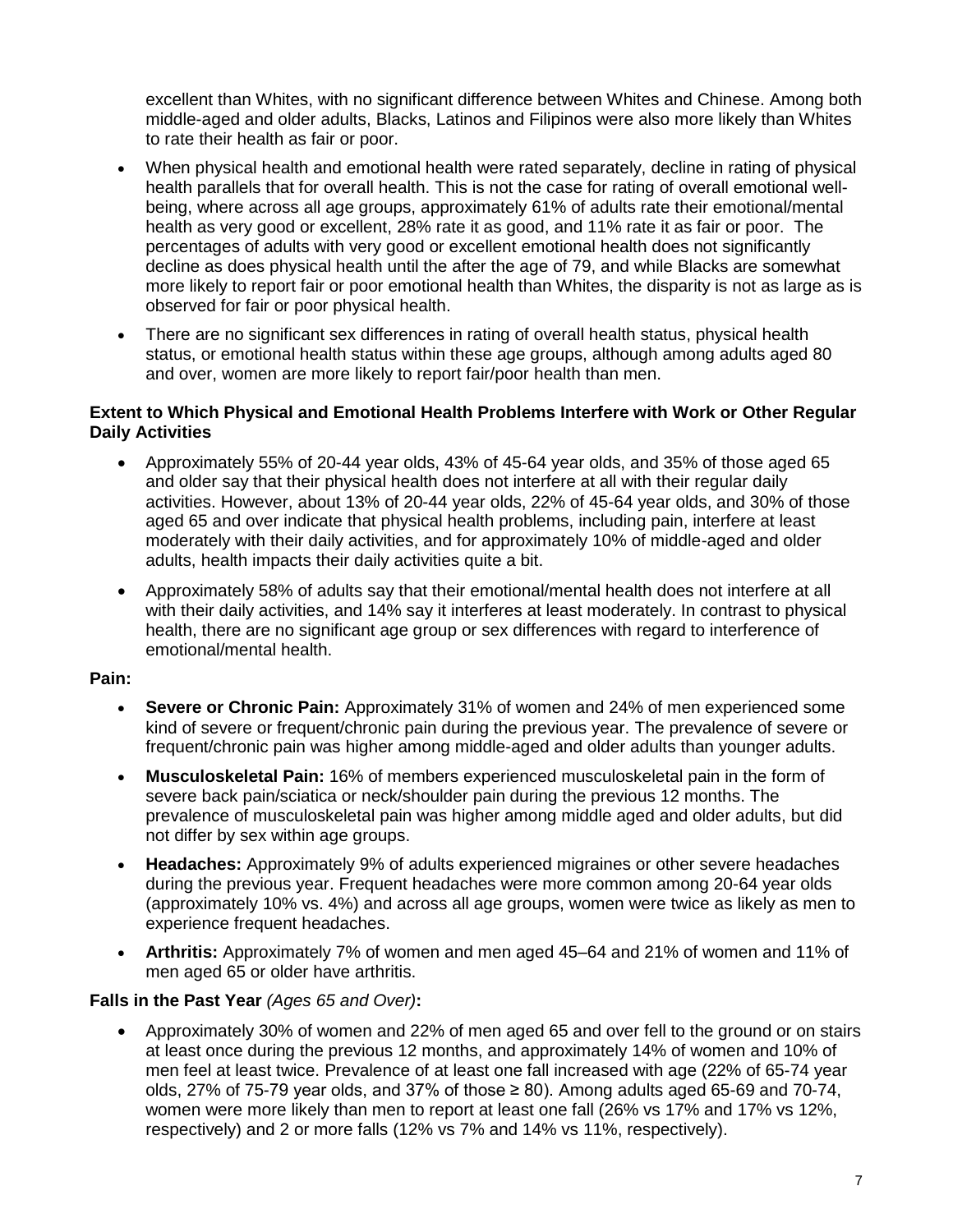excellent than Whites, with no significant difference between Whites and Chinese. Among both middle-aged and older adults, Blacks, Latinos and Filipinos were also more likely than Whites to rate their health as fair or poor.

- When physical health and emotional health were rated separately, decline in rating of physical health parallels that for overall health. This is not the case for rating of overall emotional wellbeing, where across all age groups, approximately 61% of adults rate their emotional/mental health as very good or excellent, 28% rate it as good, and 11% rate it as fair or poor. The percentages of adults with very good or excellent emotional health does not significantly decline as does physical health until the after the age of 79, and while Blacks are somewhat more likely to report fair or poor emotional health than Whites, the disparity is not as large as is observed for fair or poor physical health.
- There are no significant sex differences in rating of overall health status, physical health status, or emotional health status within these age groups, although among adults aged 80 and over, women are more likely to report fair/poor health than men.

### **Extent to Which Physical and Emotional Health Problems Interfere with Work or Other Regular Daily Activities**

- Approximately 55% of 20-44 year olds, 43% of 45-64 year olds, and 35% of those aged 65 and older say that their physical health does not interfere at all with their regular daily activities. However, about 13% of 20-44 year olds, 22% of 45-64 year olds, and 30% of those aged 65 and over indicate that physical health problems, including pain, interfere at least moderately with their daily activities, and for approximately 10% of middle-aged and older adults, health impacts their daily activities quite a bit.
- Approximately 58% of adults say that their emotional/mental health does not interfere at all with their daily activities, and 14% say it interferes at least moderately. In contrast to physical health, there are no significant age group or sex differences with regard to interference of emotional/mental health.

### **Pain:**

- **Severe or Chronic Pain:** Approximately 31% of women and 24% of men experienced some kind of severe or frequent/chronic pain during the previous year. The prevalence of severe or frequent/chronic pain was higher among middle-aged and older adults than younger adults.
- **Musculoskeletal Pain:** 16% of members experienced musculoskeletal pain in the form of severe back pain/sciatica or neck/shoulder pain during the previous 12 months. The prevalence of musculoskeletal pain was higher among middle aged and older adults, but did not differ by sex within age groups.
- **Headaches:** Approximately 9% of adults experienced migraines or other severe headaches during the previous year. Frequent headaches were more common among 20-64 year olds (approximately 10% vs. 4%) and across all age groups, women were twice as likely as men to experience frequent headaches.
- **Arthritis:** Approximately 7% of women and men aged 45–64 and 21% of women and 11% of men aged 65 or older have arthritis.

### **Falls in the Past Year** *(Ages 65 and Over)***:**

 Approximately 30% of women and 22% of men aged 65 and over fell to the ground or on stairs at least once during the previous 12 months, and approximately 14% of women and 10% of men feel at least twice. Prevalence of at least one fall increased with age (22% of 65-74 year olds, 27% of 75-79 year olds, and 37% of those  $\geq 80$ ). Among adults aged 65-69 and 70-74, women were more likely than men to report at least one fall (26% vs 17% and 17% vs 12%, respectively) and 2 or more falls (12% vs 7% and 14% vs 11%, respectively).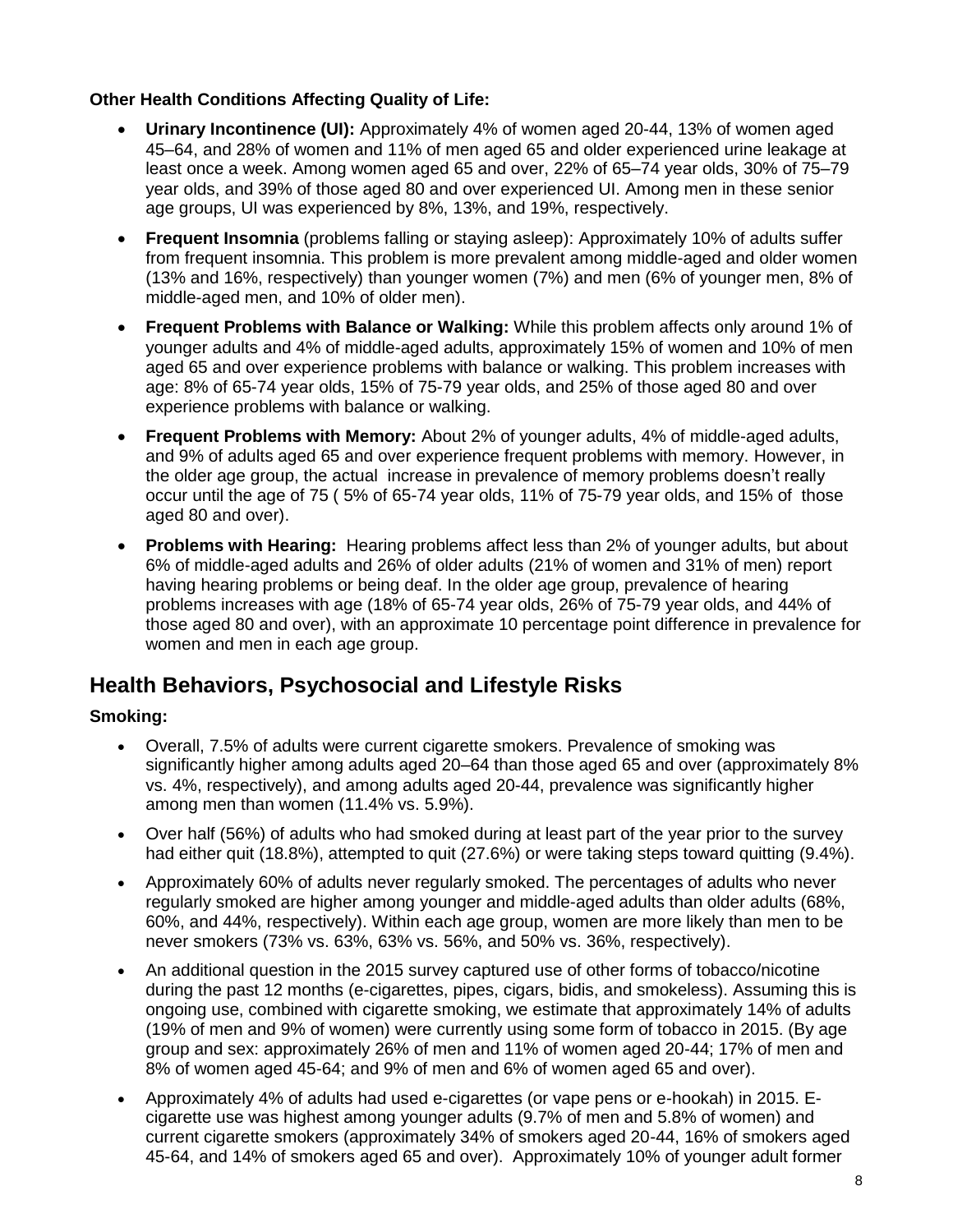## **Other Health Conditions Affecting Quality of Life:**

- **Urinary Incontinence (UI):** Approximately 4% of women aged 20-44, 13% of women aged 45–64, and 28% of women and 11% of men aged 65 and older experienced urine leakage at least once a week. Among women aged 65 and over, 22% of 65–74 year olds, 30% of 75–79 year olds, and 39% of those aged 80 and over experienced UI. Among men in these senior age groups, UI was experienced by 8%, 13%, and 19%, respectively.
- **Frequent Insomnia** (problems falling or staying asleep): Approximately 10% of adults suffer from frequent insomnia. This problem is more prevalent among middle-aged and older women (13% and 16%, respectively) than younger women (7%) and men (6% of younger men, 8% of middle-aged men, and 10% of older men).
- **Frequent Problems with Balance or Walking:** While this problem affects only around 1% of younger adults and 4% of middle-aged adults, approximately 15% of women and 10% of men aged 65 and over experience problems with balance or walking. This problem increases with age: 8% of 65-74 year olds, 15% of 75-79 year olds, and 25% of those aged 80 and over experience problems with balance or walking.
- **Frequent Problems with Memory:** About 2% of younger adults, 4% of middle-aged adults, and 9% of adults aged 65 and over experience frequent problems with memory. However, in the older age group, the actual increase in prevalence of memory problems doesn't really occur until the age of 75 ( 5% of 65-74 year olds, 11% of 75-79 year olds, and 15% of those aged 80 and over).
- **Problems with Hearing:** Hearing problems affect less than 2% of younger adults, but about 6% of middle-aged adults and 26% of older adults (21% of women and 31% of men) report having hearing problems or being deaf. In the older age group, prevalence of hearing problems increases with age (18% of 65-74 year olds, 26% of 75-79 year olds, and 44% of those aged 80 and over), with an approximate 10 percentage point difference in prevalence for women and men in each age group.

## **Health Behaviors, Psychosocial and Lifestyle Risks**

## **Smoking:**

- Overall, 7.5% of adults were current cigarette smokers. Prevalence of smoking was significantly higher among adults aged 20–64 than those aged 65 and over (approximately 8% vs. 4%, respectively), and among adults aged 20-44, prevalence was significantly higher among men than women (11.4% vs. 5.9%).
- Over half (56%) of adults who had smoked during at least part of the year prior to the survey had either quit (18.8%), attempted to quit (27.6%) or were taking steps toward quitting (9.4%).
- Approximately 60% of adults never regularly smoked. The percentages of adults who never regularly smoked are higher among younger and middle-aged adults than older adults (68%, 60%, and 44%, respectively). Within each age group, women are more likely than men to be never smokers (73% vs. 63%, 63% vs. 56%, and 50% vs. 36%, respectively).
- An additional question in the 2015 survey captured use of other forms of tobacco/nicotine during the past 12 months (e-cigarettes, pipes, cigars, bidis, and smokeless). Assuming this is ongoing use, combined with cigarette smoking, we estimate that approximately 14% of adults (19% of men and 9% of women) were currently using some form of tobacco in 2015. (By age group and sex: approximately 26% of men and 11% of women aged 20-44; 17% of men and 8% of women aged 45-64; and 9% of men and 6% of women aged 65 and over).
- Approximately 4% of adults had used e-cigarettes (or vape pens or e-hookah) in 2015. Ecigarette use was highest among younger adults (9.7% of men and 5.8% of women) and current cigarette smokers (approximately 34% of smokers aged 20-44, 16% of smokers aged 45-64, and 14% of smokers aged 65 and over). Approximately 10% of younger adult former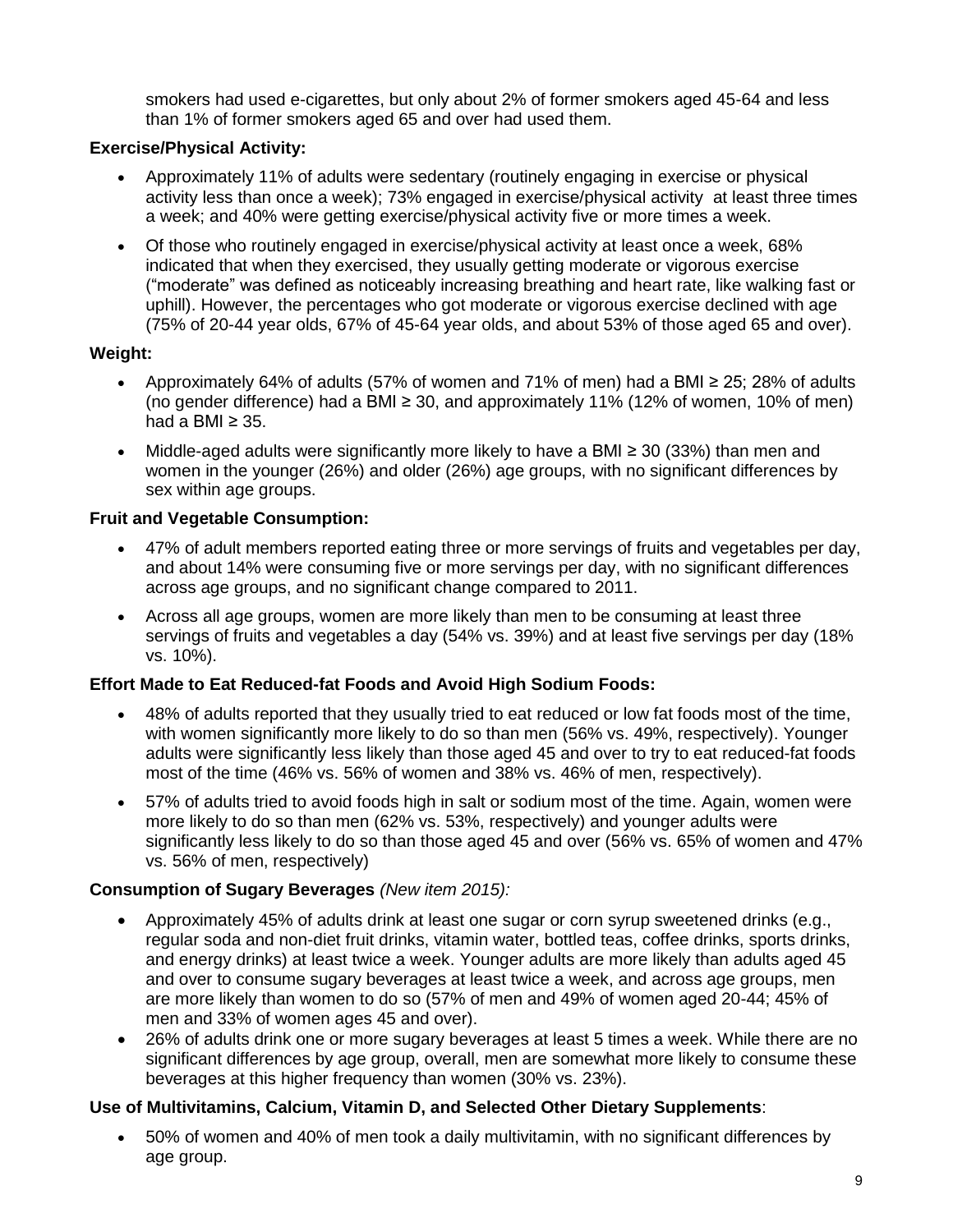smokers had used e-cigarettes, but only about 2% of former smokers aged 45-64 and less than 1% of former smokers aged 65 and over had used them.

## **Exercise/Physical Activity:**

- Approximately 11% of adults were sedentary (routinely engaging in exercise or physical activity less than once a week); 73% engaged in exercise/physical activity at least three times a week; and 40% were getting exercise/physical activity five or more times a week.
- Of those who routinely engaged in exercise/physical activity at least once a week, 68% indicated that when they exercised, they usually getting moderate or vigorous exercise ("moderate" was defined as noticeably increasing breathing and heart rate, like walking fast or uphill). However, the percentages who got moderate or vigorous exercise declined with age (75% of 20-44 year olds, 67% of 45-64 year olds, and about 53% of those aged 65 and over).

## **Weight:**

- Approximately 64% of adults (57% of women and 71% of men) had a BMI  $\geq$  25; 28% of adults (no gender difference) had a BMI  $\geq$  30, and approximately 11% (12% of women, 10% of men) had a BMI  $\geq$  35.
- Middle-aged adults were significantly more likely to have a BMI ≥ 30 (33%) than men and women in the younger (26%) and older (26%) age groups, with no significant differences by sex within age groups.

## **Fruit and Vegetable Consumption:**

- 47% of adult members reported eating three or more servings of fruits and vegetables per day, and about 14% were consuming five or more servings per day, with no significant differences across age groups, and no significant change compared to 2011.
- Across all age groups, women are more likely than men to be consuming at least three servings of fruits and vegetables a day (54% vs. 39%) and at least five servings per day (18% vs. 10%).

## **Effort Made to Eat Reduced-fat Foods and Avoid High Sodium Foods:**

- 48% of adults reported that they usually tried to eat reduced or low fat foods most of the time, with women significantly more likely to do so than men (56% vs. 49%, respectively). Younger adults were significantly less likely than those aged 45 and over to try to eat reduced-fat foods most of the time (46% vs. 56% of women and 38% vs. 46% of men, respectively).
- 57% of adults tried to avoid foods high in salt or sodium most of the time. Again, women were more likely to do so than men (62% vs. 53%, respectively) and younger adults were significantly less likely to do so than those aged 45 and over (56% vs. 65% of women and 47% vs. 56% of men, respectively)

## **Consumption of Sugary Beverages** *(New item 2015):*

- Approximately 45% of adults drink at least one sugar or corn syrup sweetened drinks (e.g., regular soda and non-diet fruit drinks, vitamin water, bottled teas, coffee drinks, sports drinks, and energy drinks) at least twice a week. Younger adults are more likely than adults aged 45 and over to consume sugary beverages at least twice a week, and across age groups, men are more likely than women to do so (57% of men and 49% of women aged 20-44; 45% of men and 33% of women ages 45 and over).
- 26% of adults drink one or more sugary beverages at least 5 times a week. While there are no significant differences by age group, overall, men are somewhat more likely to consume these beverages at this higher frequency than women (30% vs. 23%).

## **Use of Multivitamins, Calcium, Vitamin D, and Selected Other Dietary Supplements**:

 50% of women and 40% of men took a daily multivitamin, with no significant differences by age group.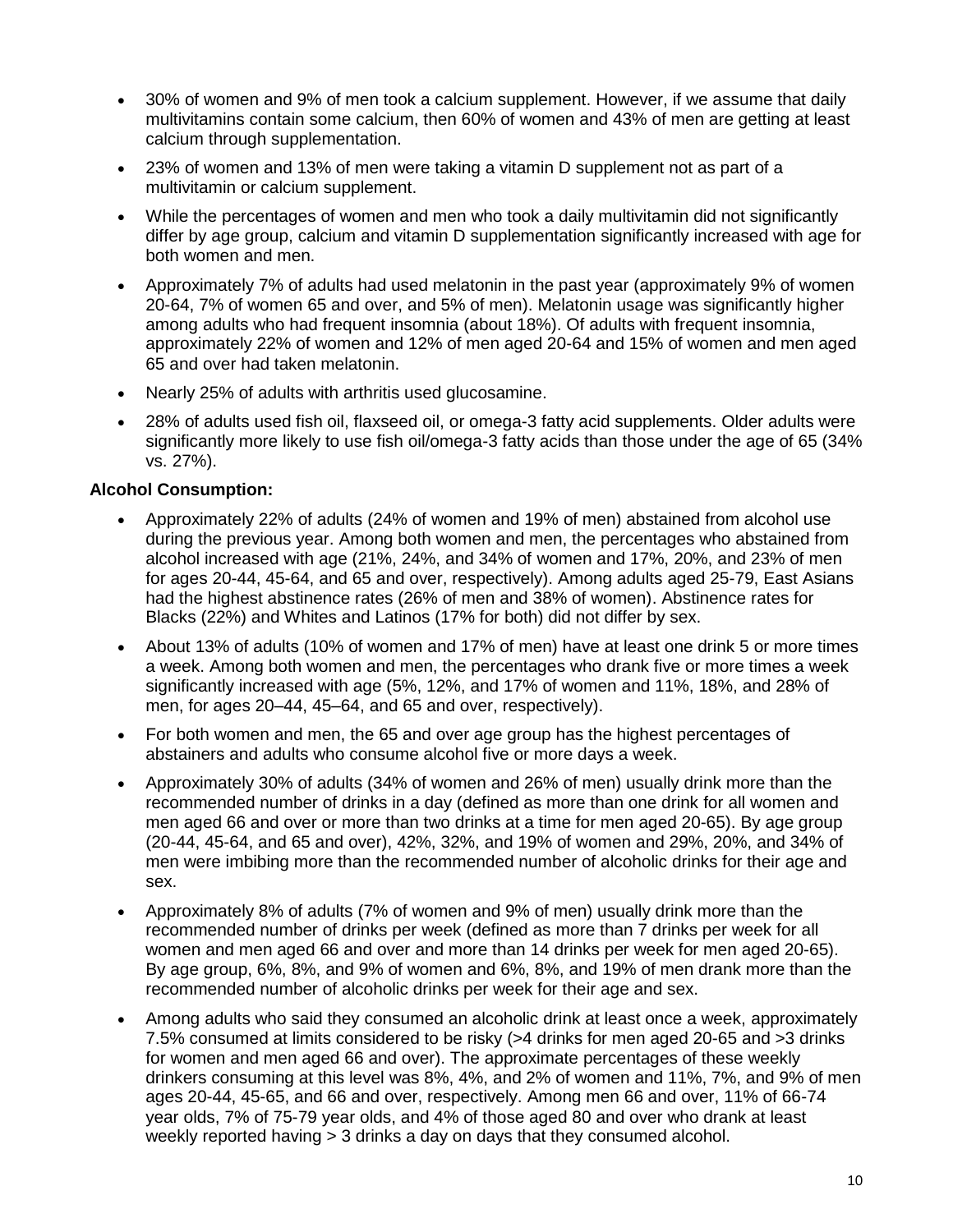- 30% of women and 9% of men took a calcium supplement. However, if we assume that daily multivitamins contain some calcium, then 60% of women and 43% of men are getting at least calcium through supplementation.
- 23% of women and 13% of men were taking a vitamin D supplement not as part of a multivitamin or calcium supplement.
- While the percentages of women and men who took a daily multivitamin did not significantly differ by age group, calcium and vitamin D supplementation significantly increased with age for both women and men.
- Approximately 7% of adults had used melatonin in the past year (approximately 9% of women 20-64, 7% of women 65 and over, and 5% of men). Melatonin usage was significantly higher among adults who had frequent insomnia (about 18%). Of adults with frequent insomnia, approximately 22% of women and 12% of men aged 20-64 and 15% of women and men aged 65 and over had taken melatonin.
- Nearly 25% of adults with arthritis used glucosamine.
- 28% of adults used fish oil, flaxseed oil, or omega-3 fatty acid supplements. Older adults were significantly more likely to use fish oil/omega-3 fatty acids than those under the age of 65 (34% vs. 27%).

### **Alcohol Consumption:**

- Approximately 22% of adults (24% of women and 19% of men) abstained from alcohol use during the previous year. Among both women and men, the percentages who abstained from alcohol increased with age (21%, 24%, and 34% of women and 17%, 20%, and 23% of men for ages 20-44, 45-64, and 65 and over, respectively). Among adults aged 25-79, East Asians had the highest abstinence rates (26% of men and 38% of women). Abstinence rates for Blacks (22%) and Whites and Latinos (17% for both) did not differ by sex.
- About 13% of adults (10% of women and 17% of men) have at least one drink 5 or more times a week. Among both women and men, the percentages who drank five or more times a week significantly increased with age (5%, 12%, and 17% of women and 11%, 18%, and 28% of men, for ages 20–44, 45–64, and 65 and over, respectively).
- For both women and men, the 65 and over age group has the highest percentages of abstainers and adults who consume alcohol five or more days a week.
- Approximately 30% of adults (34% of women and 26% of men) usually drink more than the recommended number of drinks in a day (defined as more than one drink for all women and men aged 66 and over or more than two drinks at a time for men aged 20-65). By age group (20-44, 45-64, and 65 and over), 42%, 32%, and 19% of women and 29%, 20%, and 34% of men were imbibing more than the recommended number of alcoholic drinks for their age and sex.
- Approximately 8% of adults (7% of women and 9% of men) usually drink more than the recommended number of drinks per week (defined as more than 7 drinks per week for all women and men aged 66 and over and more than 14 drinks per week for men aged 20-65). By age group, 6%, 8%, and 9% of women and 6%, 8%, and 19% of men drank more than the recommended number of alcoholic drinks per week for their age and sex.
- Among adults who said they consumed an alcoholic drink at least once a week, approximately 7.5% consumed at limits considered to be risky (>4 drinks for men aged 20-65 and >3 drinks for women and men aged 66 and over). The approximate percentages of these weekly drinkers consuming at this level was 8%, 4%, and 2% of women and 11%, 7%, and 9% of men ages 20-44, 45-65, and 66 and over, respectively. Among men 66 and over, 11% of 66-74 year olds, 7% of 75-79 year olds, and 4% of those aged 80 and over who drank at least weekly reported having > 3 drinks a day on days that they consumed alcohol.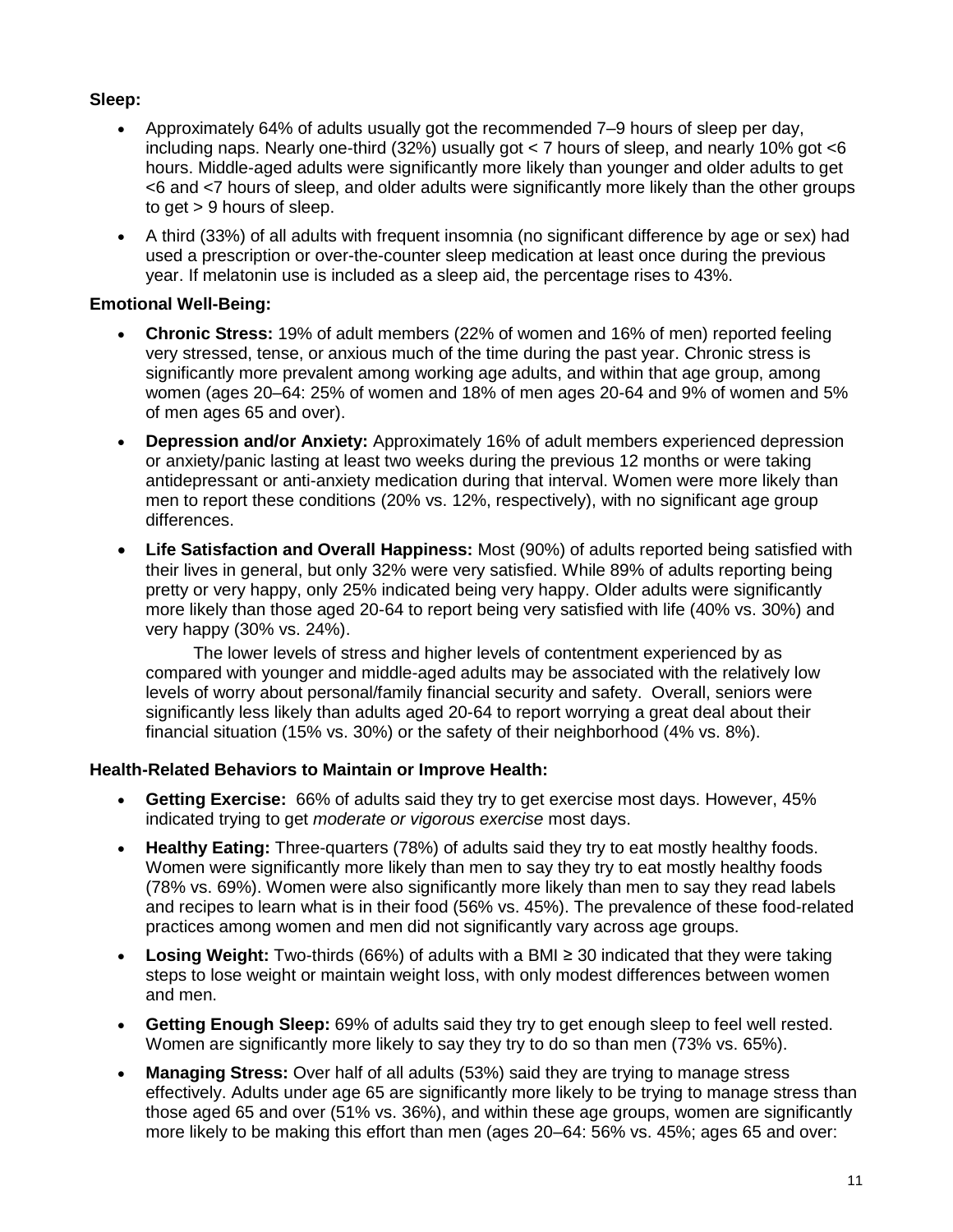## **Sleep:**

- Approximately 64% of adults usually got the recommended 7–9 hours of sleep per day, including naps. Nearly one-third (32%) usually got < 7 hours of sleep, and nearly 10% got <6 hours. Middle-aged adults were significantly more likely than younger and older adults to get <6 and <7 hours of sleep, and older adults were significantly more likely than the other groups to get > 9 hours of sleep.
- A third (33%) of all adults with frequent insomnia (no significant difference by age or sex) had used a prescription or over-the-counter sleep medication at least once during the previous year. If melatonin use is included as a sleep aid, the percentage rises to 43%.

## **Emotional Well-Being:**

- **Chronic Stress:** 19% of adult members (22% of women and 16% of men) reported feeling very stressed, tense, or anxious much of the time during the past year. Chronic stress is significantly more prevalent among working age adults, and within that age group, among women (ages 20–64: 25% of women and 18% of men ages 20-64 and 9% of women and 5% of men ages 65 and over).
- **Depression and/or Anxiety:** Approximately 16% of adult members experienced depression or anxiety/panic lasting at least two weeks during the previous 12 months or were taking antidepressant or anti-anxiety medication during that interval. Women were more likely than men to report these conditions (20% vs. 12%, respectively), with no significant age group differences.
- **Life Satisfaction and Overall Happiness:** Most (90%) of adults reported being satisfied with their lives in general, but only 32% were very satisfied. While 89% of adults reporting being pretty or very happy, only 25% indicated being very happy. Older adults were significantly more likely than those aged 20-64 to report being very satisfied with life (40% vs. 30%) and very happy (30% vs. 24%).

 The lower levels of stress and higher levels of contentment experienced by as compared with younger and middle-aged adults may be associated with the relatively low levels of worry about personal/family financial security and safety. Overall, seniors were significantly less likely than adults aged 20-64 to report worrying a great deal about their financial situation (15% vs. 30%) or the safety of their neighborhood (4% vs. 8%).

### **Health-Related Behaviors to Maintain or Improve Health:**

- **Getting Exercise:** 66% of adults said they try to get exercise most days. However, 45% indicated trying to get *moderate or vigorous exercise* most days.
- **Healthy Eating:** Three-quarters (78%) of adults said they try to eat mostly healthy foods. Women were significantly more likely than men to say they try to eat mostly healthy foods (78% vs. 69%). Women were also significantly more likely than men to say they read labels and recipes to learn what is in their food (56% vs. 45%). The prevalence of these food-related practices among women and men did not significantly vary across age groups.
- **Losing Weight:** Two-thirds (66%) of adults with a BMI ≥ 30 indicated that they were taking steps to lose weight or maintain weight loss, with only modest differences between women and men.
- **Getting Enough Sleep:** 69% of adults said they try to get enough sleep to feel well rested. Women are significantly more likely to say they try to do so than men (73% vs. 65%).
- **Managing Stress:** Over half of all adults (53%) said they are trying to manage stress effectively. Adults under age 65 are significantly more likely to be trying to manage stress than those aged 65 and over (51% vs. 36%), and within these age groups, women are significantly more likely to be making this effort than men (ages 20–64: 56% vs. 45%; ages 65 and over: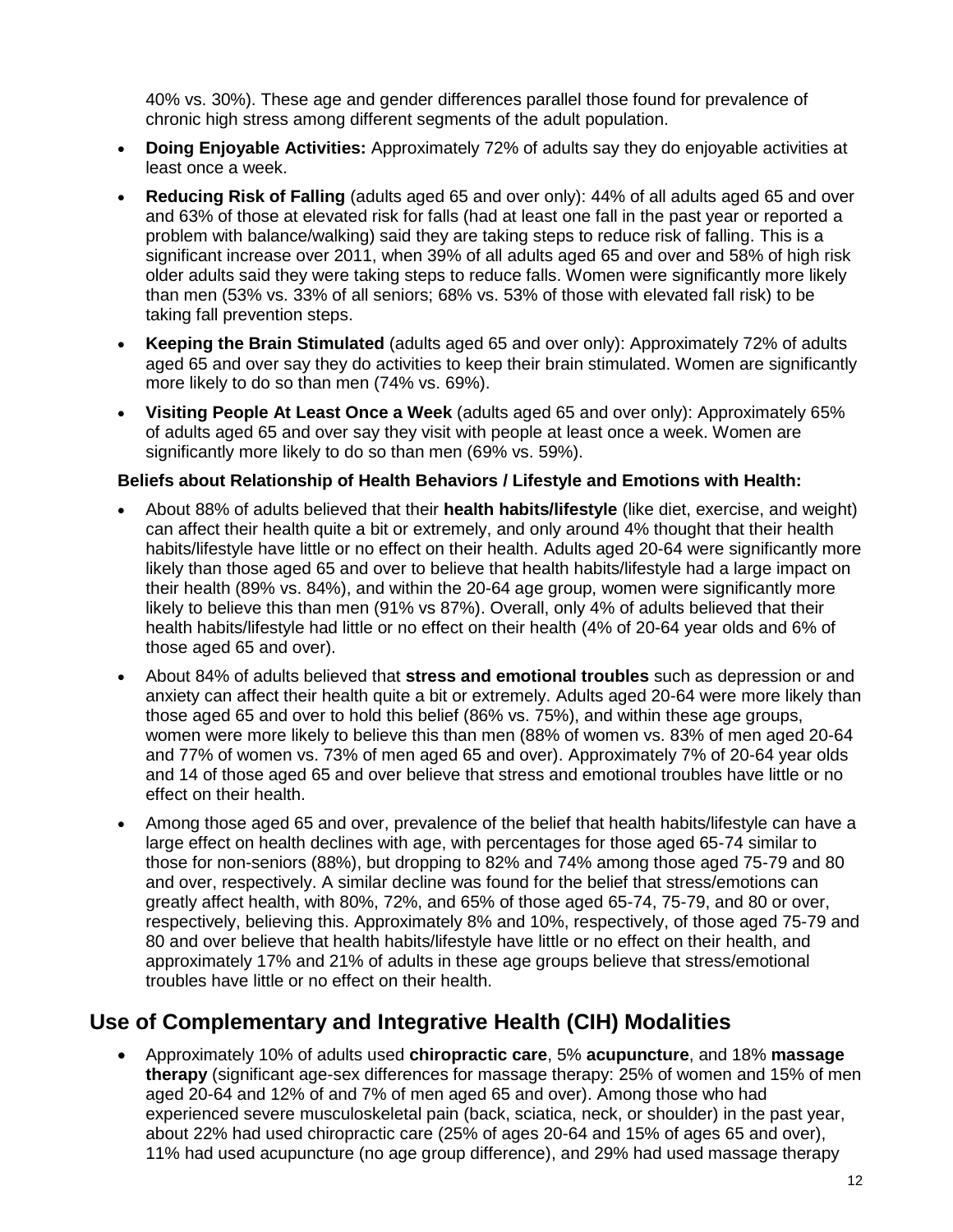40% vs. 30%). These age and gender differences parallel those found for prevalence of chronic high stress among different segments of the adult population.

- **Doing Enjoyable Activities:** Approximately 72% of adults say they do enjoyable activities at least once a week.
- **Reducing Risk of Falling** (adults aged 65 and over only): 44% of all adults aged 65 and over and 63% of those at elevated risk for falls (had at least one fall in the past year or reported a problem with balance/walking) said they are taking steps to reduce risk of falling. This is a significant increase over 2011, when 39% of all adults aged 65 and over and 58% of high risk older adults said they were taking steps to reduce falls. Women were significantly more likely than men (53% vs. 33% of all seniors; 68% vs. 53% of those with elevated fall risk) to be taking fall prevention steps.
- **Keeping the Brain Stimulated** (adults aged 65 and over only): Approximately 72% of adults aged 65 and over say they do activities to keep their brain stimulated. Women are significantly more likely to do so than men (74% vs. 69%).
- **Visiting People At Least Once a Week** (adults aged 65 and over only): Approximately 65% of adults aged 65 and over say they visit with people at least once a week. Women are significantly more likely to do so than men (69% vs. 59%).

### **Beliefs about Relationship of Health Behaviors / Lifestyle and Emotions with Health:**

- About 88% of adults believed that their **health habits/lifestyle** (like diet, exercise, and weight) can affect their health quite a bit or extremely, and only around 4% thought that their health habits/lifestyle have little or no effect on their health. Adults aged 20-64 were significantly more likely than those aged 65 and over to believe that health habits/lifestyle had a large impact on their health (89% vs. 84%), and within the 20-64 age group, women were significantly more likely to believe this than men (91% vs 87%). Overall, only 4% of adults believed that their health habits/lifestyle had little or no effect on their health (4% of 20-64 year olds and 6% of those aged 65 and over).
- About 84% of adults believed that **stress and emotional troubles** such as depression or and anxiety can affect their health quite a bit or extremely. Adults aged 20-64 were more likely than those aged 65 and over to hold this belief (86% vs. 75%), and within these age groups, women were more likely to believe this than men (88% of women vs. 83% of men aged 20-64 and 77% of women vs. 73% of men aged 65 and over). Approximately 7% of 20-64 year olds and 14 of those aged 65 and over believe that stress and emotional troubles have little or no effect on their health.
- Among those aged 65 and over, prevalence of the belief that health habits/lifestyle can have a large effect on health declines with age, with percentages for those aged 65-74 similar to those for non-seniors (88%), but dropping to 82% and 74% among those aged 75-79 and 80 and over, respectively. A similar decline was found for the belief that stress/emotions can greatly affect health, with 80%, 72%, and 65% of those aged 65-74, 75-79, and 80 or over, respectively, believing this. Approximately 8% and 10%, respectively, of those aged 75-79 and 80 and over believe that health habits/lifestyle have little or no effect on their health, and approximately 17% and 21% of adults in these age groups believe that stress/emotional troubles have little or no effect on their health.

## **Use of Complementary and Integrative Health (CIH) Modalities**

 Approximately 10% of adults used **chiropractic care**, 5% **acupuncture**, and 18% **massage therapy** (significant age-sex differences for massage therapy: 25% of women and 15% of men aged 20-64 and 12% of and 7% of men aged 65 and over). Among those who had experienced severe musculoskeletal pain (back, sciatica, neck, or shoulder) in the past year, about 22% had used chiropractic care (25% of ages 20-64 and 15% of ages 65 and over), 11% had used acupuncture (no age group difference), and 29% had used massage therapy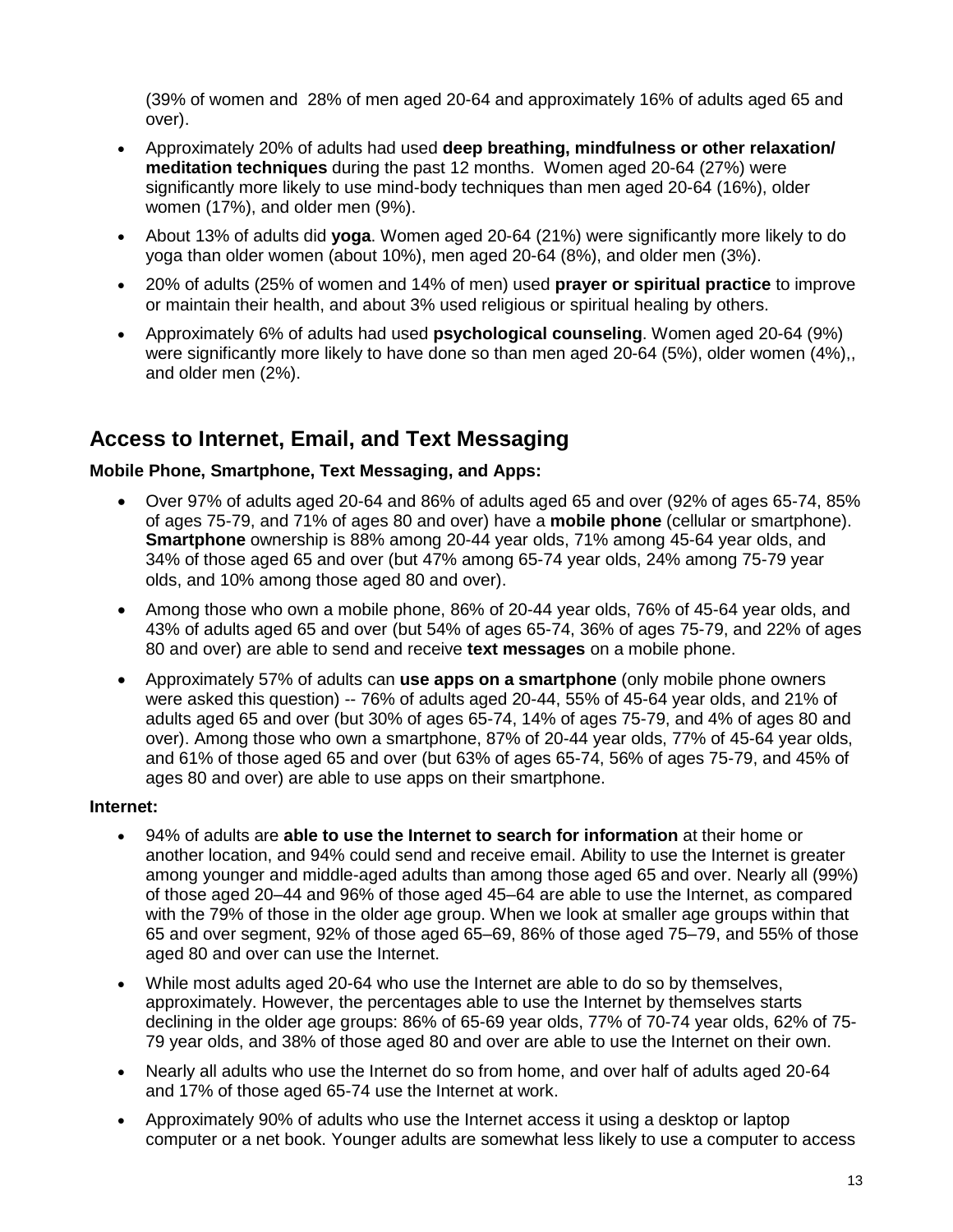(39% of women and 28% of men aged 20-64 and approximately 16% of adults aged 65 and over).

- Approximately 20% of adults had used **deep breathing, mindfulness or other relaxation/ meditation techniques** during the past 12 months. Women aged 20-64 (27%) were significantly more likely to use mind-body techniques than men aged 20-64 (16%), older women (17%), and older men (9%).
- About 13% of adults did **yoga**. Women aged 20-64 (21%) were significantly more likely to do yoga than older women (about 10%), men aged 20-64 (8%), and older men (3%).
- 20% of adults (25% of women and 14% of men) used **prayer or spiritual practice** to improve or maintain their health, and about 3% used religious or spiritual healing by others.
- Approximately 6% of adults had used **psychological counseling**. Women aged 20-64 (9%) were significantly more likely to have done so than men aged 20-64 (5%), older women (4%),, and older men (2%).

## **Access to Internet, Email, and Text Messaging**

## **Mobile Phone, Smartphone, Text Messaging, and Apps:**

- Over 97% of adults aged 20-64 and 86% of adults aged 65 and over (92% of ages 65-74, 85% of ages 75-79, and 71% of ages 80 and over) have a **mobile phone** (cellular or smartphone). **Smartphone** ownership is 88% among 20-44 year olds, 71% among 45-64 year olds, and 34% of those aged 65 and over (but 47% among 65-74 year olds, 24% among 75-79 year olds, and 10% among those aged 80 and over).
- Among those who own a mobile phone, 86% of 20-44 year olds, 76% of 45-64 year olds, and 43% of adults aged 65 and over (but 54% of ages 65-74, 36% of ages 75-79, and 22% of ages 80 and over) are able to send and receive **text messages** on a mobile phone.
- Approximately 57% of adults can **use apps on a smartphone** (only mobile phone owners were asked this question) -- 76% of adults aged 20-44, 55% of 45-64 year olds, and 21% of adults aged 65 and over (but 30% of ages 65-74, 14% of ages 75-79, and 4% of ages 80 and over). Among those who own a smartphone, 87% of 20-44 year olds, 77% of 45-64 year olds, and 61% of those aged 65 and over (but 63% of ages 65-74, 56% of ages 75-79, and 45% of ages 80 and over) are able to use apps on their smartphone.

### **Internet:**

- 94% of adults are **able to use the Internet to search for information** at their home or another location, and 94% could send and receive email. Ability to use the Internet is greater among younger and middle-aged adults than among those aged 65 and over. Nearly all (99%) of those aged 20–44 and 96% of those aged 45–64 are able to use the Internet, as compared with the 79% of those in the older age group. When we look at smaller age groups within that 65 and over segment, 92% of those aged 65–69, 86% of those aged 75–79, and 55% of those aged 80 and over can use the Internet.
- While most adults aged 20-64 who use the Internet are able to do so by themselves, approximately. However, the percentages able to use the Internet by themselves starts declining in the older age groups: 86% of 65-69 year olds, 77% of 70-74 year olds, 62% of 75- 79 year olds, and 38% of those aged 80 and over are able to use the Internet on their own.
- Nearly all adults who use the Internet do so from home, and over half of adults aged 20-64 and 17% of those aged 65-74 use the Internet at work.
- Approximately 90% of adults who use the Internet access it using a desktop or laptop computer or a net book. Younger adults are somewhat less likely to use a computer to access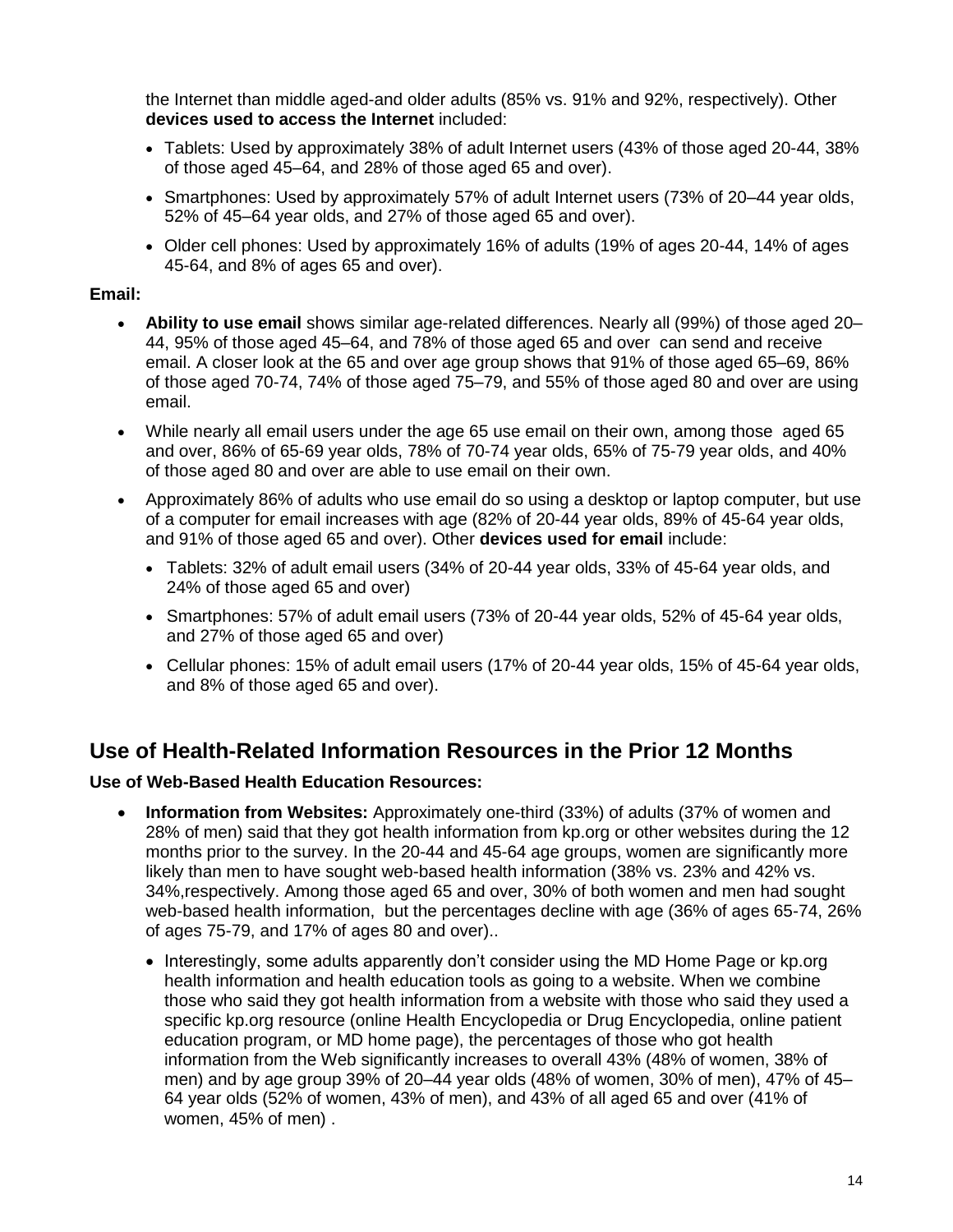the Internet than middle aged-and older adults (85% vs. 91% and 92%, respectively). Other **devices used to access the Internet** included:

- Tablets: Used by approximately 38% of adult Internet users (43% of those aged 20-44, 38% of those aged 45–64, and 28% of those aged 65 and over).
- Smartphones: Used by approximately 57% of adult Internet users (73% of 20–44 year olds, 52% of 45–64 year olds, and 27% of those aged 65 and over).
- Older cell phones: Used by approximately 16% of adults (19% of ages 20-44, 14% of ages 45-64, and 8% of ages 65 and over).

### **Email:**

- **Ability to use email** shows similar age-related differences. Nearly all (99%) of those aged 20– 44, 95% of those aged 45–64, and 78% of those aged 65 and over can send and receive email. A closer look at the 65 and over age group shows that 91% of those aged 65–69, 86% of those aged 70-74, 74% of those aged 75–79, and 55% of those aged 80 and over are using email.
- While nearly all email users under the age 65 use email on their own, among those aged 65 and over, 86% of 65-69 year olds, 78% of 70-74 year olds, 65% of 75-79 year olds, and 40% of those aged 80 and over are able to use email on their own.
- Approximately 86% of adults who use email do so using a desktop or laptop computer, but use of a computer for email increases with age (82% of 20-44 year olds, 89% of 45-64 year olds, and 91% of those aged 65 and over). Other **devices used for email** include:
	- Tablets: 32% of adult email users (34% of 20-44 year olds, 33% of 45-64 year olds, and 24% of those aged 65 and over)
	- $\bullet$  Smartphones: 57% of adult email users (73% of 20-44 year olds, 52% of 45-64 year olds, and 27% of those aged 65 and over)
	- Cellular phones: 15% of adult email users (17% of 20-44 year olds, 15% of 45-64 year olds, and 8% of those aged 65 and over).

## **Use of Health-Related Information Resources in the Prior 12 Months**

### **Use of Web-Based Health Education Resources:**

- **Information from Websites:** Approximately one-third (33%) of adults (37% of women and 28% of men) said that they got health information from kp.org or other websites during the 12 months prior to the survey. In the 20-44 and 45-64 age groups, women are significantly more likely than men to have sought web-based health information (38% vs. 23% and 42% vs. 34%,respectively. Among those aged 65 and over, 30% of both women and men had sought web-based health information, but the percentages decline with age (36% of ages 65-74, 26% of ages 75-79, and 17% of ages 80 and over)..
	- Interestingly, some adults apparently don't consider using the MD Home Page or kp.org health information and health education tools as going to a website. When we combine those who said they got health information from a website with those who said they used a specific kp.org resource (online Health Encyclopedia or Drug Encyclopedia, online patient education program, or MD home page), the percentages of those who got health information from the Web significantly increases to overall 43% (48% of women, 38% of men) and by age group 39% of 20–44 year olds (48% of women, 30% of men), 47% of 45– 64 year olds (52% of women, 43% of men), and 43% of all aged 65 and over (41% of women, 45% of men) .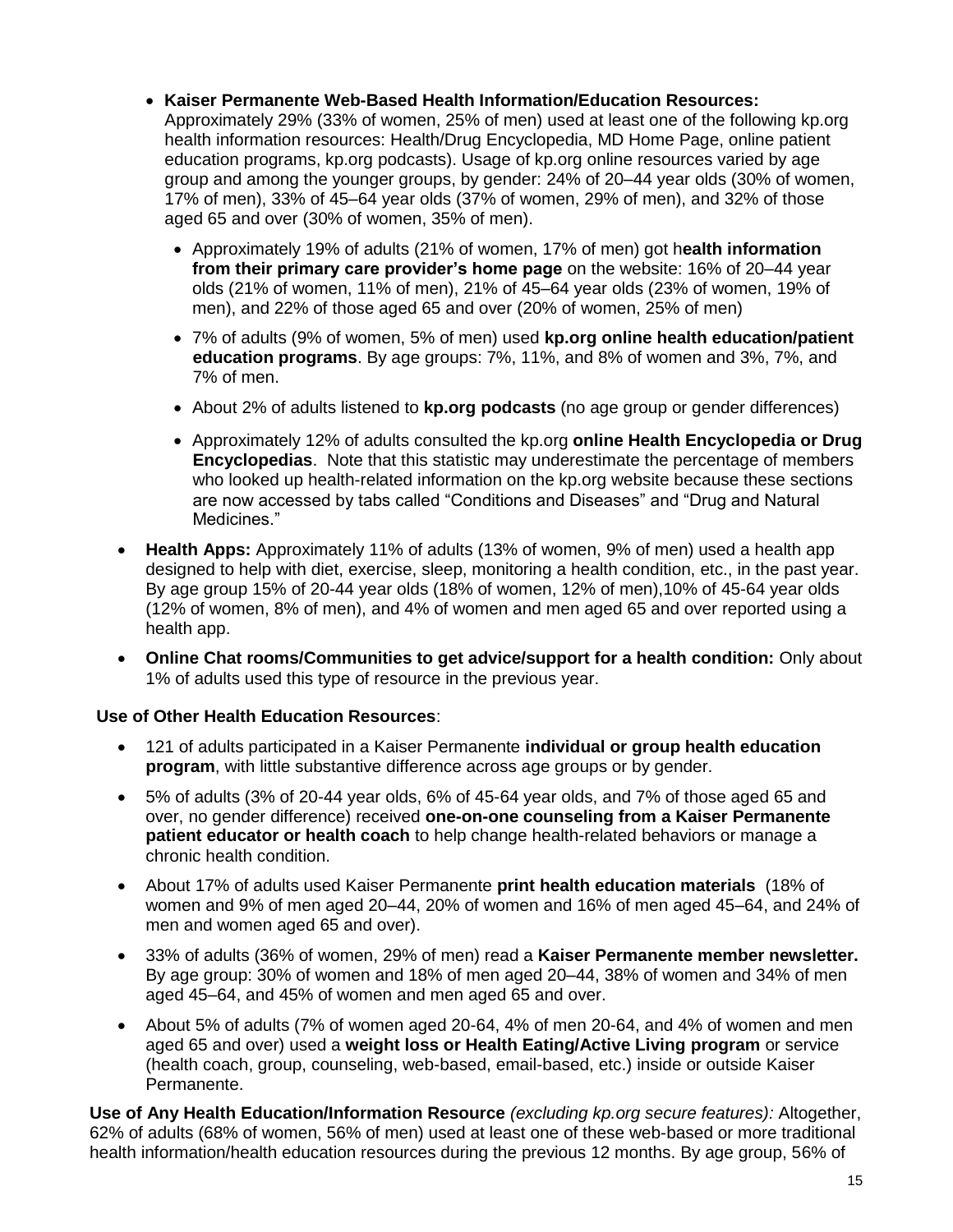- **Kaiser Permanente Web-Based Health Information/Education Resources:** Approximately 29% (33% of women, 25% of men) used at least one of the following kp.org health information resources: Health/Drug Encyclopedia, MD Home Page, online patient education programs, kp.org podcasts). Usage of kp.org online resources varied by age group and among the younger groups, by gender: 24% of 20–44 year olds (30% of women, 17% of men), 33% of 45–64 year olds (37% of women, 29% of men), and 32% of those aged 65 and over (30% of women, 35% of men).
	- Approximately 19% of adults (21% of women, 17% of men) got h**ealth information from their primary care provider's home page** on the website: 16% of 20–44 year olds (21% of women, 11% of men), 21% of 45–64 year olds (23% of women, 19% of men), and 22% of those aged 65 and over (20% of women, 25% of men)
	- 7% of adults (9% of women, 5% of men) used **kp.org online health education/patient education programs**. By age groups: 7%, 11%, and 8% of women and 3%, 7%, and 7% of men.
	- About 2% of adults listened to **kp.org podcasts** (no age group or gender differences)
	- Approximately 12% of adults consulted the kp.org **online Health Encyclopedia or Drug Encyclopedias**. Note that this statistic may underestimate the percentage of members who looked up health-related information on the kp.org website because these sections are now accessed by tabs called "Conditions and Diseases" and "Drug and Natural Medicines."
- **Health Apps:** Approximately 11% of adults (13% of women, 9% of men) used a health app designed to help with diet, exercise, sleep, monitoring a health condition, etc., in the past year. By age group 15% of 20-44 year olds (18% of women, 12% of men),10% of 45-64 year olds (12% of women, 8% of men), and 4% of women and men aged 65 and over reported using a health app.
- **Online Chat rooms/Communities to get advice/support for a health condition:** Only about 1% of adults used this type of resource in the previous year.

### **Use of Other Health Education Resources**:

- 121 of adults participated in a Kaiser Permanente **individual or group health education program**, with little substantive difference across age groups or by gender.
- 5% of adults (3% of 20-44 year olds, 6% of 45-64 year olds, and 7% of those aged 65 and over, no gender difference) received **one-on-one counseling from a Kaiser Permanente patient educator or health coach** to help change health-related behaviors or manage a chronic health condition.
- About 17% of adults used Kaiser Permanente **print health education materials** (18% of women and 9% of men aged 20–44, 20% of women and 16% of men aged 45–64, and 24% of men and women aged 65 and over).
- 33% of adults (36% of women, 29% of men) read a **Kaiser Permanente member newsletter.** By age group: 30% of women and 18% of men aged 20–44, 38% of women and 34% of men aged 45–64, and 45% of women and men aged 65 and over.
- About 5% of adults (7% of women aged 20-64, 4% of men 20-64, and 4% of women and men aged 65 and over) used a **weight loss or Health Eating/Active Living program** or service (health coach, group, counseling, web-based, email-based, etc.) inside or outside Kaiser Permanente.

**Use of Any Health Education/Information Resource** *(excluding kp.org secure features):* Altogether, 62% of adults (68% of women, 56% of men) used at least one of these web-based or more traditional health information/health education resources during the previous 12 months. By age group, 56% of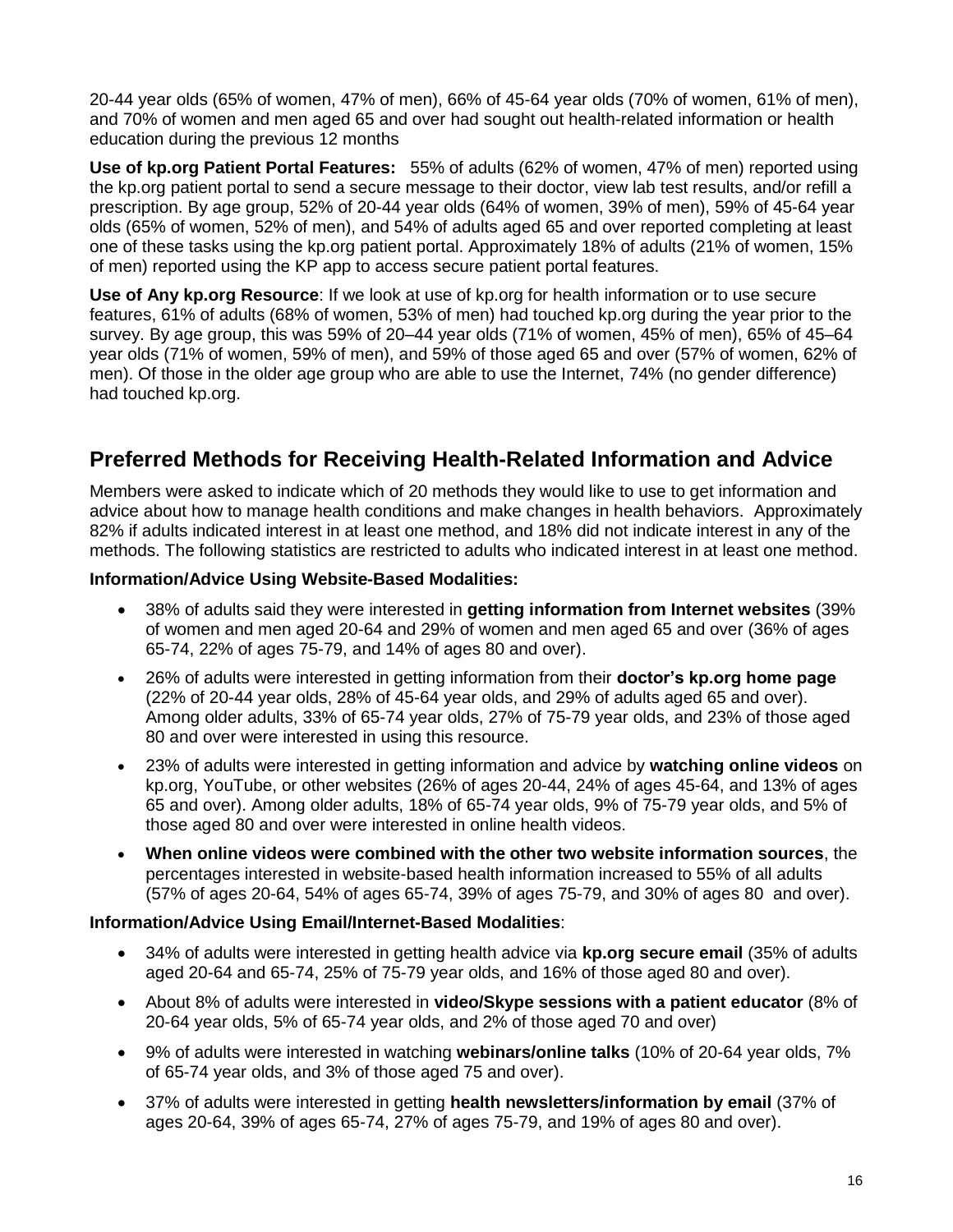20-44 year olds (65% of women, 47% of men), 66% of 45-64 year olds (70% of women, 61% of men), and 70% of women and men aged 65 and over had sought out health-related information or health education during the previous 12 months

**Use of kp.org Patient Portal Features:** 55% of adults (62% of women, 47% of men) reported using the kp.org patient portal to send a secure message to their doctor, view lab test results, and/or refill a prescription. By age group, 52% of 20-44 year olds (64% of women, 39% of men), 59% of 45-64 year olds (65% of women, 52% of men), and 54% of adults aged 65 and over reported completing at least one of these tasks using the kp.org patient portal. Approximately 18% of adults (21% of women, 15% of men) reported using the KP app to access secure patient portal features.

**Use of Any kp.org Resource**: If we look at use of kp.org for health information or to use secure features, 61% of adults (68% of women, 53% of men) had touched kp.org during the year prior to the survey. By age group, this was 59% of 20–44 year olds (71% of women, 45% of men), 65% of 45–64 year olds (71% of women, 59% of men), and 59% of those aged 65 and over (57% of women, 62% of men). Of those in the older age group who are able to use the Internet, 74% (no gender difference) had touched kp.org.

## **Preferred Methods for Receiving Health-Related Information and Advice**

Members were asked to indicate which of 20 methods they would like to use to get information and advice about how to manage health conditions and make changes in health behaviors. Approximately 82% if adults indicated interest in at least one method, and 18% did not indicate interest in any of the methods. The following statistics are restricted to adults who indicated interest in at least one method.

### **Information/Advice Using Website-Based Modalities:**

- 38% of adults said they were interested in **getting information from Internet websites** (39% of women and men aged 20-64 and 29% of women and men aged 65 and over (36% of ages 65-74, 22% of ages 75-79, and 14% of ages 80 and over).
- 26% of adults were interested in getting information from their **doctor's kp.org home page** (22% of 20-44 year olds, 28% of 45-64 year olds, and 29% of adults aged 65 and over). Among older adults, 33% of 65-74 year olds, 27% of 75-79 year olds, and 23% of those aged 80 and over were interested in using this resource.
- 23% of adults were interested in getting information and advice by **watching online videos** on kp.org, YouTube, or other websites (26% of ages 20-44, 24% of ages 45-64, and 13% of ages 65 and over). Among older adults, 18% of 65-74 year olds, 9% of 75-79 year olds, and 5% of those aged 80 and over were interested in online health videos.
- **When online videos were combined with the other two website information sources**, the percentages interested in website-based health information increased to 55% of all adults (57% of ages 20-64, 54% of ages 65-74, 39% of ages 75-79, and 30% of ages 80 and over).

### **Information/Advice Using Email/Internet-Based Modalities**:

- 34% of adults were interested in getting health advice via **kp.org secure email** (35% of adults aged 20-64 and 65-74, 25% of 75-79 year olds, and 16% of those aged 80 and over).
- About 8% of adults were interested in **video/Skype sessions with a patient educator** (8% of 20-64 year olds, 5% of 65-74 year olds, and 2% of those aged 70 and over)
- 9% of adults were interested in watching **webinars/online talks** (10% of 20-64 year olds, 7% of 65-74 year olds, and 3% of those aged 75 and over).
- 37% of adults were interested in getting **health newsletters/information by email** (37% of ages 20-64, 39% of ages 65-74, 27% of ages 75-79, and 19% of ages 80 and over).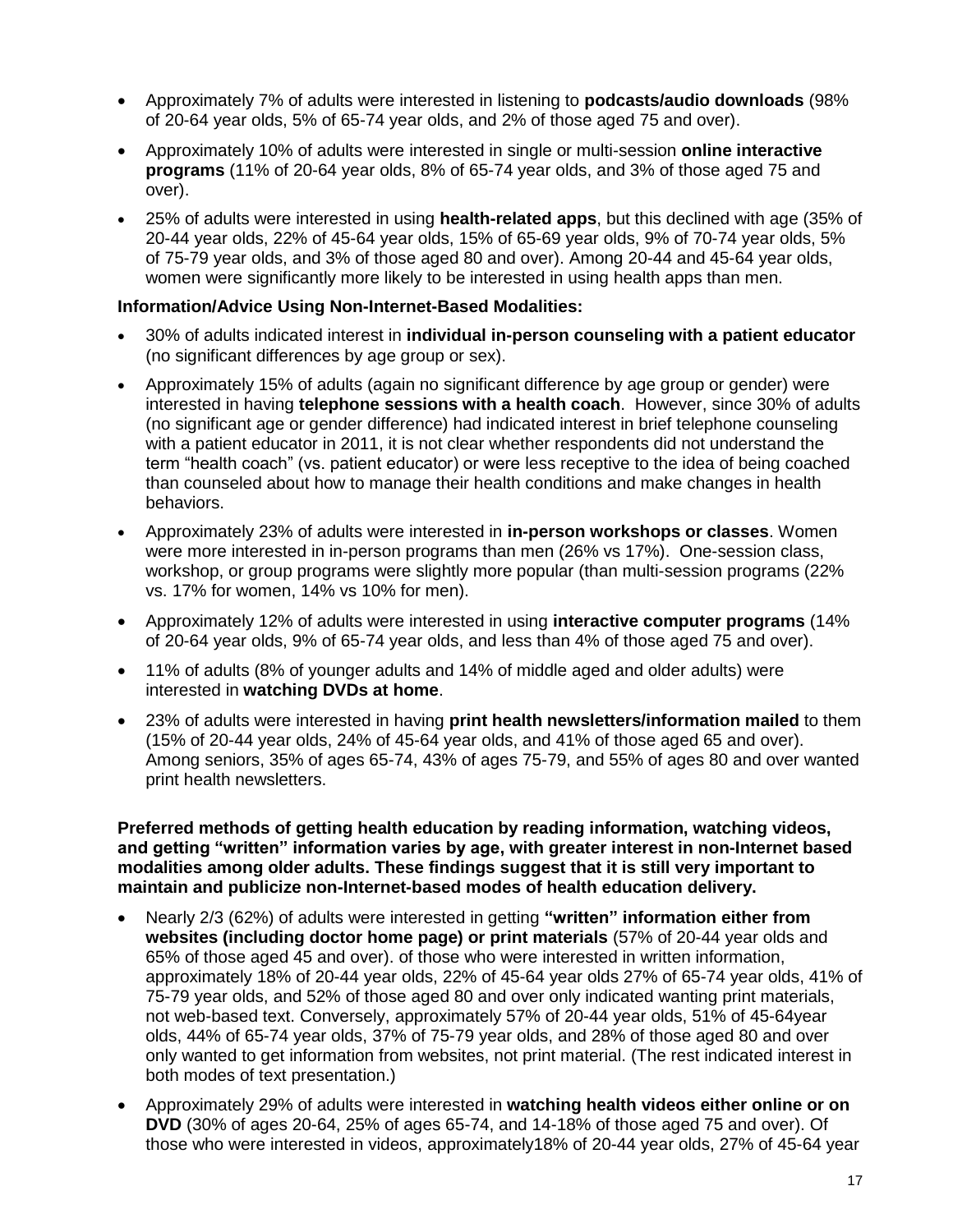- Approximately 7% of adults were interested in listening to **podcasts/audio downloads** (98% of 20-64 year olds, 5% of 65-74 year olds, and 2% of those aged 75 and over).
- Approximately 10% of adults were interested in single or multi-session **online interactive programs** (11% of 20-64 year olds, 8% of 65-74 year olds, and 3% of those aged 75 and over).
- 25% of adults were interested in using **health-related apps**, but this declined with age (35% of 20-44 year olds, 22% of 45-64 year olds, 15% of 65-69 year olds, 9% of 70-74 year olds, 5% of 75-79 year olds, and 3% of those aged 80 and over). Among 20-44 and 45-64 year olds, women were significantly more likely to be interested in using health apps than men.

### **Information/Advice Using Non-Internet-Based Modalities:**

- 30% of adults indicated interest in **individual in-person counseling with a patient educator**  (no significant differences by age group or sex).
- Approximately 15% of adults (again no significant difference by age group or gender) were interested in having **telephone sessions with a health coach**. However, since 30% of adults (no significant age or gender difference) had indicated interest in brief telephone counseling with a patient educator in 2011, it is not clear whether respondents did not understand the term "health coach" (vs. patient educator) or were less receptive to the idea of being coached than counseled about how to manage their health conditions and make changes in health behaviors.
- Approximately 23% of adults were interested in **in-person workshops or classes**. Women were more interested in in-person programs than men (26% vs 17%). One-session class, workshop, or group programs were slightly more popular (than multi-session programs (22% vs. 17% for women, 14% vs 10% for men).
- Approximately 12% of adults were interested in using **interactive computer programs** (14% of 20-64 year olds, 9% of 65-74 year olds, and less than 4% of those aged 75 and over).
- 11% of adults (8% of younger adults and 14% of middle aged and older adults) were interested in **watching DVDs at home**.
- 23% of adults were interested in having **print health newsletters/information mailed** to them (15% of 20-44 year olds, 24% of 45-64 year olds, and 41% of those aged 65 and over). Among seniors, 35% of ages 65-74, 43% of ages 75-79, and 55% of ages 80 and over wanted print health newsletters.

**Preferred methods of getting health education by reading information, watching videos, and getting "written" information varies by age, with greater interest in non-Internet based modalities among older adults. These findings suggest that it is still very important to maintain and publicize non-Internet-based modes of health education delivery.**

- Nearly 2/3 (62%) of adults were interested in getting **"written" information either from websites (including doctor home page) or print materials** (57% of 20-44 year olds and 65% of those aged 45 and over). of those who were interested in written information, approximately 18% of 20-44 year olds, 22% of 45-64 year olds 27% of 65-74 year olds, 41% of 75-79 year olds, and 52% of those aged 80 and over only indicated wanting print materials, not web-based text. Conversely, approximately 57% of 20-44 year olds, 51% of 45-64year olds, 44% of 65-74 year olds, 37% of 75-79 year olds, and 28% of those aged 80 and over only wanted to get information from websites, not print material. (The rest indicated interest in both modes of text presentation.)
- Approximately 29% of adults were interested in **watching health videos either online or on DVD** (30% of ages 20-64, 25% of ages 65-74, and 14-18% of those aged 75 and over). Of those who were interested in videos, approximately18% of 20-44 year olds, 27% of 45-64 year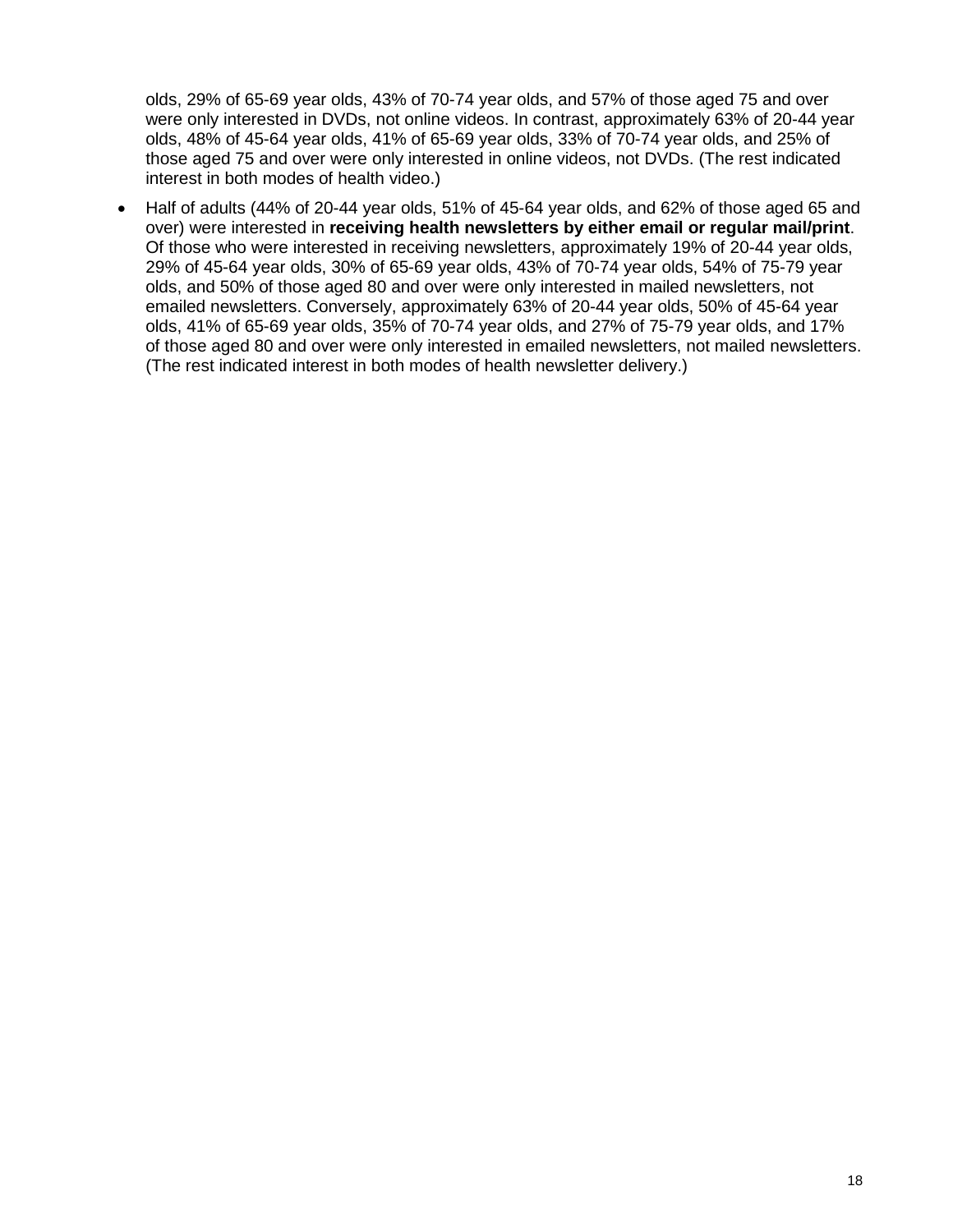olds, 29% of 65-69 year olds, 43% of 70-74 year olds, and 57% of those aged 75 and over were only interested in DVDs, not online videos. In contrast, approximately 63% of 20-44 year olds, 48% of 45-64 year olds, 41% of 65-69 year olds, 33% of 70-74 year olds, and 25% of those aged 75 and over were only interested in online videos, not DVDs. (The rest indicated interest in both modes of health video.)

 Half of adults (44% of 20-44 year olds, 51% of 45-64 year olds, and 62% of those aged 65 and over) were interested in **receiving health newsletters by either email or regular mail/print**. Of those who were interested in receiving newsletters, approximately 19% of 20-44 year olds, 29% of 45-64 year olds, 30% of 65-69 year olds, 43% of 70-74 year olds, 54% of 75-79 year olds, and 50% of those aged 80 and over were only interested in mailed newsletters, not emailed newsletters. Conversely, approximately 63% of 20-44 year olds, 50% of 45-64 year olds, 41% of 65-69 year olds, 35% of 70-74 year olds, and 27% of 75-79 year olds, and 17% of those aged 80 and over were only interested in emailed newsletters, not mailed newsletters. (The rest indicated interest in both modes of health newsletter delivery.)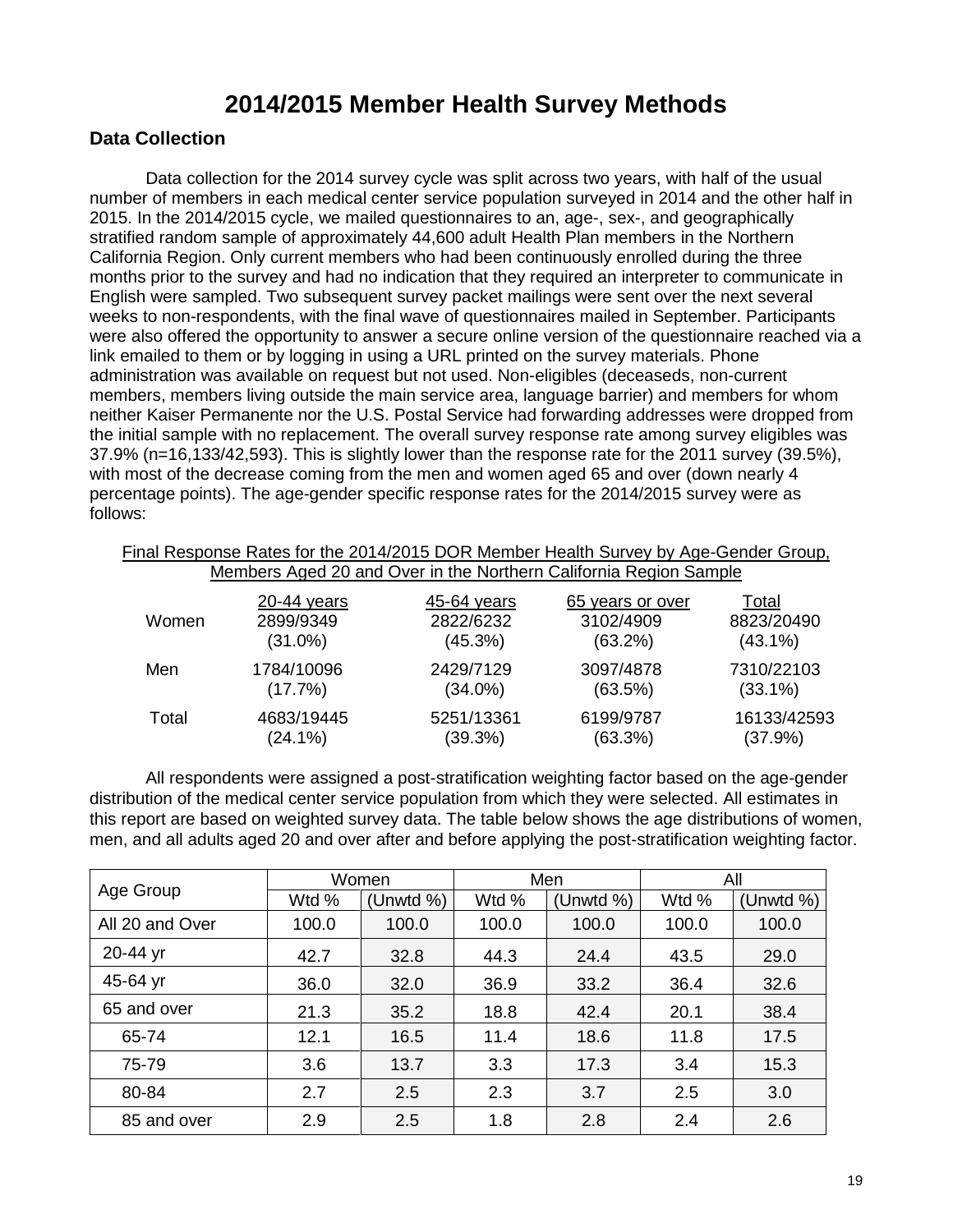# **2014/2015 Member Health Survey Methods**

## **Data Collection**

Data collection for the 2014 survey cycle was split across two years, with half of the usual number of members in each medical center service population surveyed in 2014 and the other half in 2015. In the 2014/2015 cycle, we mailed questionnaires to an, age-, sex-, and geographically stratified random sample of approximately 44,600 adult Health Plan members in the Northern California Region. Only current members who had been continuously enrolled during the three months prior to the survey and had no indication that they required an interpreter to communicate in English were sampled. Two subsequent survey packet mailings were sent over the next several weeks to non-respondents, with the final wave of questionnaires mailed in September. Participants were also offered the opportunity to answer a secure online version of the questionnaire reached via a link emailed to them or by logging in using a URL printed on the survey materials. Phone administration was available on request but not used. Non-eligibles (deceaseds, non-current members, members living outside the main service area, language barrier) and members for whom neither Kaiser Permanente nor the U.S. Postal Service had forwarding addresses were dropped from the initial sample with no replacement. The overall survey response rate among survey eligibles was 37.9% (n=16,133/42,593). This is slightly lower than the response rate for the 2011 survey (39.5%), with most of the decrease coming from the men and women aged 65 and over (down nearly 4 percentage points). The age-gender specific response rates for the 2014/2015 survey were as follows:

| Final Response Rates for the 2014/2015 DOR Member Health Survey by Age-Gender Group,<br>Members Aged 20 and Over in the Northern California Region Sample |               |             |                  |             |  |  |  |  |  |
|-----------------------------------------------------------------------------------------------------------------------------------------------------------|---------------|-------------|------------------|-------------|--|--|--|--|--|
| Women                                                                                                                                                     | $20-44$ years | 45-64 years | 65 years or over | Total       |  |  |  |  |  |
|                                                                                                                                                           | 2899/9349     | 2822/6232   | 3102/4909        | 8823/20490  |  |  |  |  |  |
|                                                                                                                                                           | $(31.0\%)$    | (45.3%)     | $(63.2\%)$       | $(43.1\%)$  |  |  |  |  |  |
| Men                                                                                                                                                       | 1784/10096    | 2429/7129   | 3097/4878        | 7310/22103  |  |  |  |  |  |
|                                                                                                                                                           | (17.7%)       | $(34.0\%)$  | (63.5%)          | $(33.1\%)$  |  |  |  |  |  |
| Total                                                                                                                                                     | 4683/19445    | 5251/13361  | 6199/9787        | 16133/42593 |  |  |  |  |  |
|                                                                                                                                                           | $(24.1\%)$    | (39.3%)     | (63.3%)          | (37.9%)     |  |  |  |  |  |

All respondents were assigned a post-stratification weighting factor based on the age-gender distribution of the medical center service population from which they were selected. All estimates in this report are based on weighted survey data. The table below shows the age distributions of women, men, and all adults aged 20 and over after and before applying the post-stratification weighting factor.

|                 | Women |           | Men   |              | All   |              |
|-----------------|-------|-----------|-------|--------------|-------|--------------|
| Age Group       | Wtd % | (Unwtd %) | Wtd % | (Unwtd $%$ ) | Wtd % | (Unwtd $%$ ) |
| All 20 and Over | 100.0 | 100.0     | 100.0 | 100.0        | 100.0 | 100.0        |
| 20-44 yr        | 42.7  | 32.8      | 44.3  | 24.4         | 43.5  | 29.0         |
| 45-64 yr        | 36.0  | 32.0      | 36.9  | 33.2         | 36.4  | 32.6         |
| 65 and over     | 21.3  | 35.2      | 18.8  | 42.4         | 20.1  | 38.4         |
| 65-74           | 12.1  | 16.5      | 11.4  | 18.6         | 11.8  | 17.5         |
| 75-79           | 3.6   | 13.7      | 3.3   | 17.3         | 3.4   | 15.3         |
| 80-84           | 2.7   | 2.5       | 2.3   | 3.7          | 2.5   | 3.0          |
| 85 and over     | 2.9   | 2.5       | 1.8   | 2.8          | 2.4   | 2.6          |